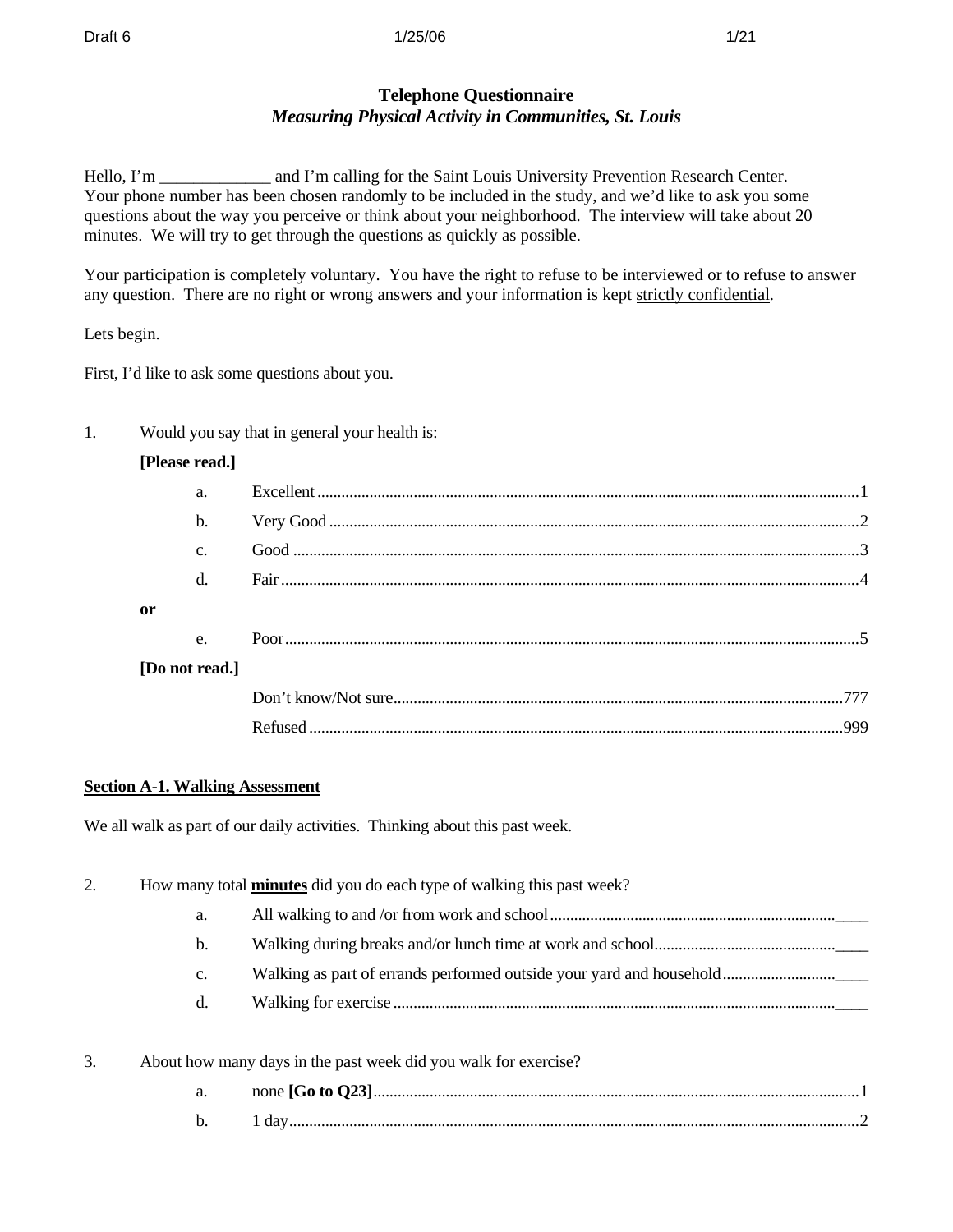#### **Draft 6 1/25/06** 1/25/06 1/25/06 1/25 1/21

## **Telephone Questionnaire**  *Measuring Physical Activity in Communities, St. Louis*

Hello, I'm \_\_\_\_\_\_\_\_\_\_\_\_\_\_ and I'm calling for the Saint Louis University Prevention Research Center. Your phone number has been chosen randomly to be included in the study, and we'd like to ask you some questions about the way you perceive or think about your neighborhood. The interview will take about 20 minutes. We will try to get through the questions as quickly as possible.

Your participation is completely voluntary. You have the right to refuse to be interviewed or to refuse to answer any question. There are no right or wrong answers and your information is kept strictly confidential.

Lets begin.

First, I'd like to ask some questions about you.

1. Would you say that in general your health is:

## **[Please read.]**

| a.             |  |
|----------------|--|
| $b$            |  |
| $C_{\cdot}$    |  |
| $\mathbf{d}$ . |  |
| 0r             |  |
| $e_{\cdot}$    |  |
| [Do not read.] |  |
|                |  |
|                |  |
|                |  |

## **Section A-1. Walking Assessment**

We all walk as part of our daily activities. Thinking about this past week.

| 2. |    | How many total <b>minutes</b> did you do each type of walking this past week?                                                                                                                                                                                                                                                                                                        |
|----|----|--------------------------------------------------------------------------------------------------------------------------------------------------------------------------------------------------------------------------------------------------------------------------------------------------------------------------------------------------------------------------------------|
|    | a. |                                                                                                                                                                                                                                                                                                                                                                                      |
|    | b. |                                                                                                                                                                                                                                                                                                                                                                                      |
|    | c. |                                                                                                                                                                                                                                                                                                                                                                                      |
|    | d. |                                                                                                                                                                                                                                                                                                                                                                                      |
| 3. |    | About how many days in the past week did you walk for exercise?                                                                                                                                                                                                                                                                                                                      |
|    |    | $\overline{A}$ $\overline{A}$ $\overline{A}$ $\overline{A}$ $\overline{A}$ $\overline{A}$ $\overline{A}$ $\overline{A}$ $\overline{A}$ $\overline{A}$ $\overline{A}$ $\overline{A}$ $\overline{A}$ $\overline{A}$ $\overline{A}$ $\overline{A}$ $\overline{A}$ $\overline{A}$ $\overline{A}$ $\overline{A}$ $\overline{A}$ $\overline{A}$ $\overline{A}$ $\overline{A}$ $\overline{$ |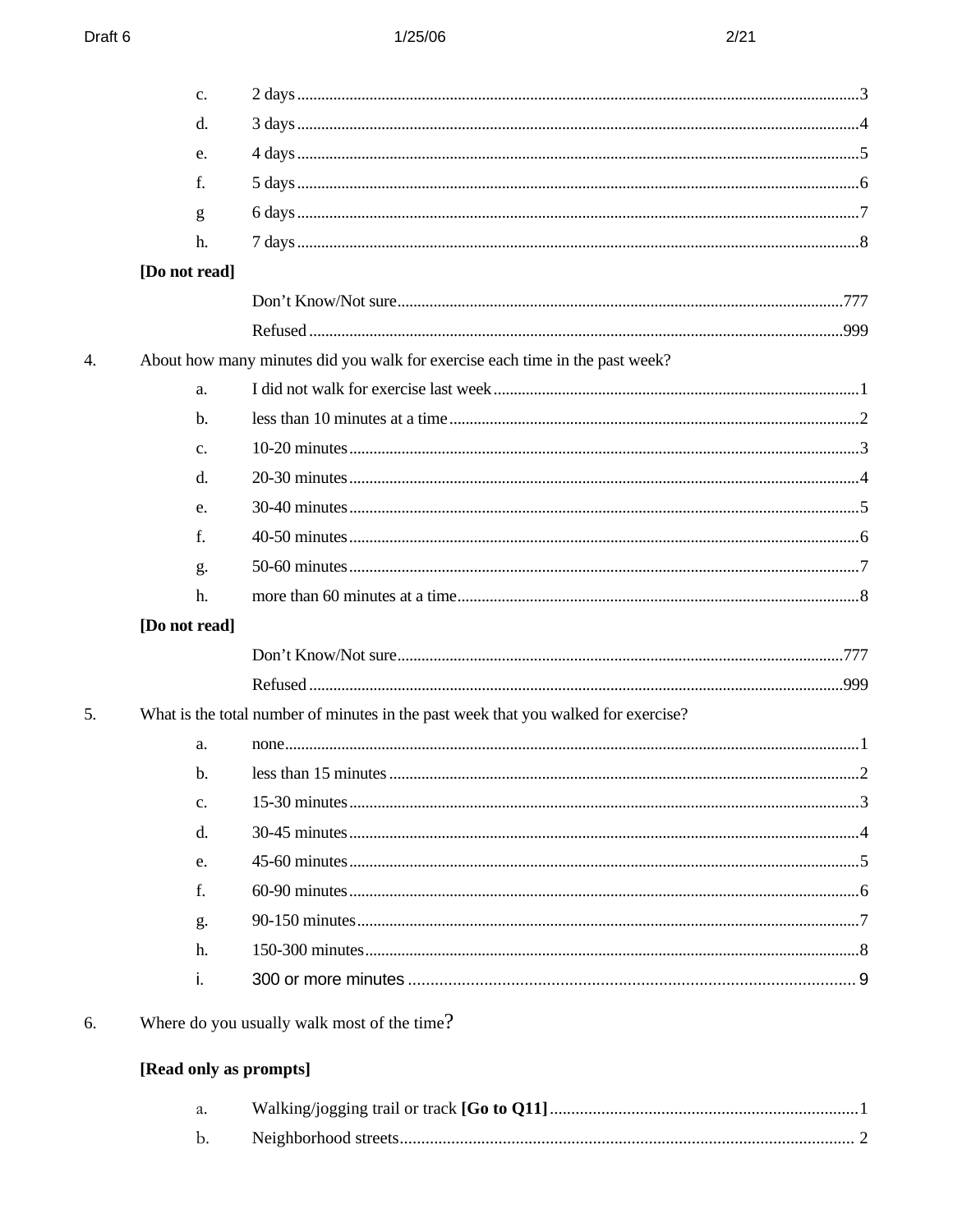|    | c.                     |                                                                                    |  |
|----|------------------------|------------------------------------------------------------------------------------|--|
|    | d.                     |                                                                                    |  |
|    | e.                     |                                                                                    |  |
|    | f.                     |                                                                                    |  |
|    | g                      |                                                                                    |  |
|    | h.                     |                                                                                    |  |
|    | [Do not read]          |                                                                                    |  |
|    |                        |                                                                                    |  |
|    |                        |                                                                                    |  |
| 4. |                        | About how many minutes did you walk for exercise each time in the past week?       |  |
|    | a.                     |                                                                                    |  |
|    | $\mathbf{b}$ .         |                                                                                    |  |
|    | $C_{\bullet}$          |                                                                                    |  |
|    | d.                     |                                                                                    |  |
|    | e.                     |                                                                                    |  |
|    | f.                     |                                                                                    |  |
|    | g.                     |                                                                                    |  |
|    | h.                     |                                                                                    |  |
|    | [Do not read]          |                                                                                    |  |
|    |                        |                                                                                    |  |
|    |                        |                                                                                    |  |
| 5. |                        | What is the total number of minutes in the past week that you walked for exercise? |  |
|    | a.                     |                                                                                    |  |
|    | b.                     |                                                                                    |  |
|    | c.                     |                                                                                    |  |
|    | d.                     |                                                                                    |  |
|    | e.                     |                                                                                    |  |
|    | f.                     |                                                                                    |  |
|    | g.                     |                                                                                    |  |
|    | h.                     |                                                                                    |  |
|    | i.                     |                                                                                    |  |
| 6. |                        | Where do you usually walk most of the time?                                        |  |
|    | [Read only as prompts] |                                                                                    |  |
|    | a.                     |                                                                                    |  |
|    | b.                     |                                                                                    |  |
|    |                        |                                                                                    |  |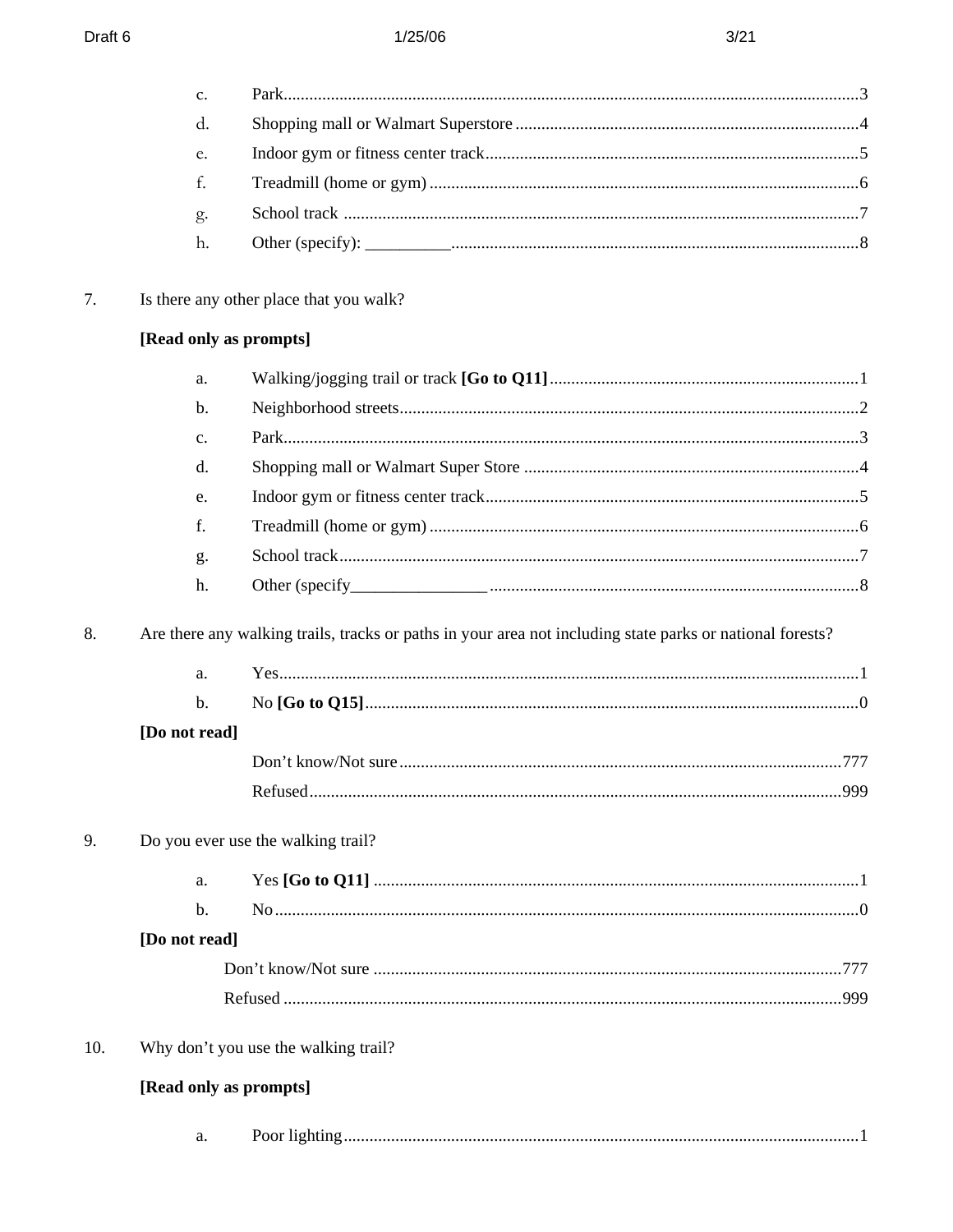|     | c.                     |                                                                                                           |  |
|-----|------------------------|-----------------------------------------------------------------------------------------------------------|--|
|     | d.                     |                                                                                                           |  |
|     | e.                     |                                                                                                           |  |
|     | f.                     |                                                                                                           |  |
|     | g.                     |                                                                                                           |  |
|     | h.                     |                                                                                                           |  |
| 7.  |                        | Is there any other place that you walk?                                                                   |  |
|     | [Read only as prompts] |                                                                                                           |  |
|     | a.                     |                                                                                                           |  |
|     | b.                     |                                                                                                           |  |
|     | $\mathbf{C}$ .         |                                                                                                           |  |
|     | d.                     |                                                                                                           |  |
|     | e.                     |                                                                                                           |  |
|     | f.                     |                                                                                                           |  |
|     | g.                     |                                                                                                           |  |
|     | h.                     |                                                                                                           |  |
| 8.  |                        | Are there any walking trails, tracks or paths in your area not including state parks or national forests? |  |
|     | a.                     |                                                                                                           |  |
|     | $b$ .                  |                                                                                                           |  |
|     | [Do not read]          |                                                                                                           |  |
|     |                        |                                                                                                           |  |
|     |                        |                                                                                                           |  |
| 9.  |                        | Do you ever use the walking trail?                                                                        |  |
|     | a.                     |                                                                                                           |  |
|     | $\mathbf b$ .          |                                                                                                           |  |
|     | [Do not read]          |                                                                                                           |  |
|     |                        |                                                                                                           |  |
|     |                        |                                                                                                           |  |
| 10. |                        | Why don't you use the walking trail?                                                                      |  |
|     |                        |                                                                                                           |  |
|     | [Read only as prompts] |                                                                                                           |  |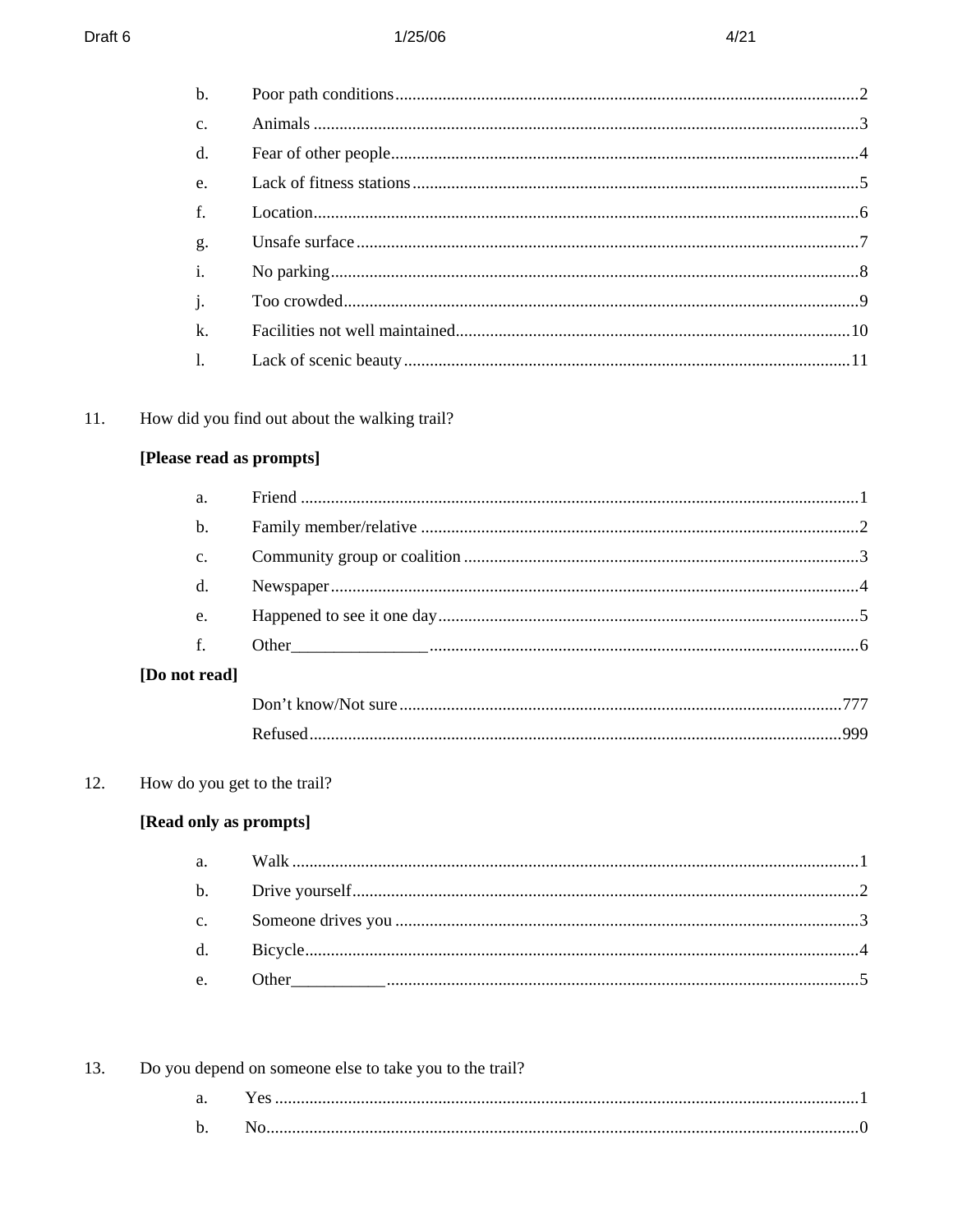| $b$ .          |  |
|----------------|--|
| $\mathbf{c}$ . |  |
| $\mathbf{d}$ . |  |
| $e_{i}$        |  |
| f.             |  |
| g.             |  |
| $\mathbf{i}$ . |  |
| j.             |  |
| $\mathbf{k}$ . |  |
| <sup>1</sup>   |  |
|                |  |

#### $11.$ How did you find out about the walking trail?

# [Please read as prompts]

| a.            |  |
|---------------|--|
| $\mathbf b$ . |  |
| c.            |  |
| d.            |  |
| e.            |  |
| f.            |  |
| ot read]      |  |

| [Do not read] |  |
|---------------|--|
|---------------|--|

#### How do you get to the trail? 12.

# [Read only as prompts]

|  | 13. Do you depend on someone else to take you to the trail? |
|--|-------------------------------------------------------------|
|  |                                                             |
|  |                                                             |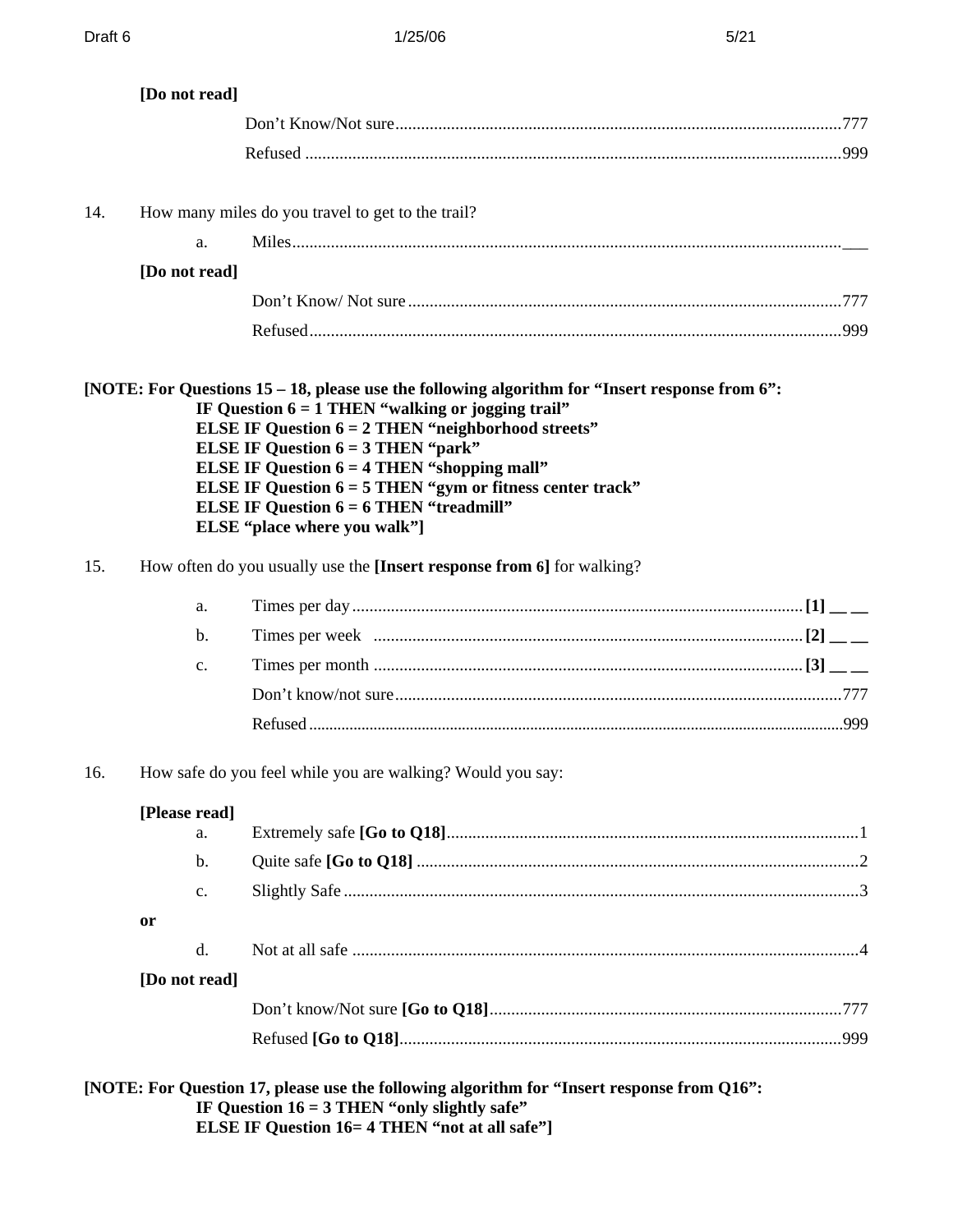|     | [Do not read]       |                                                                                                                                                                                                                                                                                                                                                                                                                                                                                                                                        |  |
|-----|---------------------|----------------------------------------------------------------------------------------------------------------------------------------------------------------------------------------------------------------------------------------------------------------------------------------------------------------------------------------------------------------------------------------------------------------------------------------------------------------------------------------------------------------------------------------|--|
|     |                     |                                                                                                                                                                                                                                                                                                                                                                                                                                                                                                                                        |  |
|     |                     |                                                                                                                                                                                                                                                                                                                                                                                                                                                                                                                                        |  |
| 14. |                     | How many miles do you travel to get to the trail?                                                                                                                                                                                                                                                                                                                                                                                                                                                                                      |  |
|     | a.                  |                                                                                                                                                                                                                                                                                                                                                                                                                                                                                                                                        |  |
|     | [Do not read]       |                                                                                                                                                                                                                                                                                                                                                                                                                                                                                                                                        |  |
|     |                     |                                                                                                                                                                                                                                                                                                                                                                                                                                                                                                                                        |  |
|     |                     |                                                                                                                                                                                                                                                                                                                                                                                                                                                                                                                                        |  |
|     |                     | [NOTE: For Questions 15 – 18, please use the following algorithm for "Insert response from 6":<br>IF Question $6 = 1$ THEN "walking or jogging trail"<br><b>ELSE IF Question 6 = 2 THEN "neighborhood streets"</b><br><b>ELSE IF Question <math>6 = 3</math> THEN "park"</b><br><b>ELSE IF Question <math>6 = 4</math> THEN "shopping mall"</b><br><b>ELSE IF Question <math>6 = 5</math> THEN "gym or fitness center track"</b><br><b>ELSE IF Question <math>6 = 6</math> THEN "treadmill"</b><br><b>ELSE</b> "place where you walk"] |  |
| 15. |                     | How often do you usually use the [Insert response from 6] for walking?                                                                                                                                                                                                                                                                                                                                                                                                                                                                 |  |
|     | a.                  |                                                                                                                                                                                                                                                                                                                                                                                                                                                                                                                                        |  |
|     | b.                  |                                                                                                                                                                                                                                                                                                                                                                                                                                                                                                                                        |  |
|     | $\mathbf{c}$ .      |                                                                                                                                                                                                                                                                                                                                                                                                                                                                                                                                        |  |
|     |                     |                                                                                                                                                                                                                                                                                                                                                                                                                                                                                                                                        |  |
|     |                     |                                                                                                                                                                                                                                                                                                                                                                                                                                                                                                                                        |  |
| 16. |                     | How safe do you feel while you are walking? Would you say:                                                                                                                                                                                                                                                                                                                                                                                                                                                                             |  |
|     | [Please read]<br>a. |                                                                                                                                                                                                                                                                                                                                                                                                                                                                                                                                        |  |
|     | b.                  |                                                                                                                                                                                                                                                                                                                                                                                                                                                                                                                                        |  |
|     | $\mathbf{c}$ .      |                                                                                                                                                                                                                                                                                                                                                                                                                                                                                                                                        |  |
|     | <b>or</b>           |                                                                                                                                                                                                                                                                                                                                                                                                                                                                                                                                        |  |
|     | d.                  |                                                                                                                                                                                                                                                                                                                                                                                                                                                                                                                                        |  |
|     | [Do not read]       |                                                                                                                                                                                                                                                                                                                                                                                                                                                                                                                                        |  |
|     |                     |                                                                                                                                                                                                                                                                                                                                                                                                                                                                                                                                        |  |
|     |                     |                                                                                                                                                                                                                                                                                                                                                                                                                                                                                                                                        |  |
|     |                     | [NOTE: For Question 17, please use the following algorithm for "Insert response from Q16":<br>IF Question $16 = 3$ THEN "only slightly safe"                                                                                                                                                                                                                                                                                                                                                                                           |  |
|     |                     | <b>ELSE IF Question 16= 4 THEN "not at all safe"</b> ]                                                                                                                                                                                                                                                                                                                                                                                                                                                                                 |  |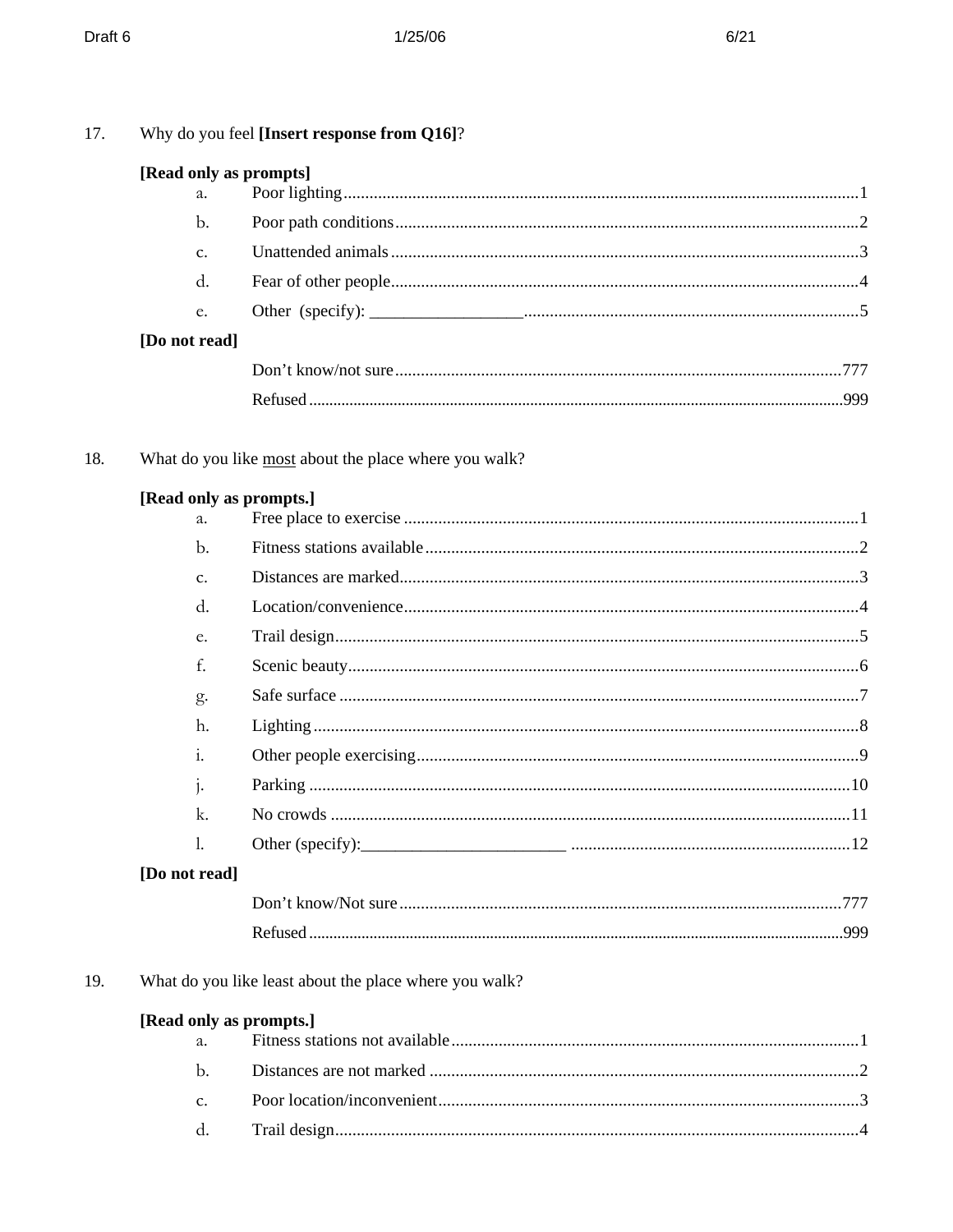| 17. |                        | Why do you feel [Insert response from Q16]?            |  |
|-----|------------------------|--------------------------------------------------------|--|
|     | [Read only as prompts] |                                                        |  |
|     | a.                     |                                                        |  |
|     | $\mathbf{b}$ .         |                                                        |  |
|     | c.                     |                                                        |  |
|     | d.                     |                                                        |  |
|     | e.                     |                                                        |  |
|     | [Do not read]          |                                                        |  |
|     |                        |                                                        |  |
|     |                        |                                                        |  |
| 18. |                        | What do you like most about the place where you walk?  |  |
|     |                        | [Read only as prompts.]                                |  |
|     | a.                     |                                                        |  |
|     | b.                     |                                                        |  |
|     | c.                     |                                                        |  |
|     | d.                     |                                                        |  |
|     | e.<br>f.               |                                                        |  |
|     |                        |                                                        |  |
|     | g.                     |                                                        |  |
|     | h.                     |                                                        |  |
|     | 1.                     |                                                        |  |
|     | 1.                     |                                                        |  |
|     | k.<br>1.               |                                                        |  |
|     | [Do not read]          |                                                        |  |
|     |                        |                                                        |  |
|     |                        |                                                        |  |
|     |                        |                                                        |  |
| 19. |                        | What do you like least about the place where you walk? |  |
|     | a.                     | [Read only as prompts.]                                |  |
|     | $\mathbf{b}$ .         |                                                        |  |
|     | c.                     |                                                        |  |
|     | d.                     |                                                        |  |
|     |                        |                                                        |  |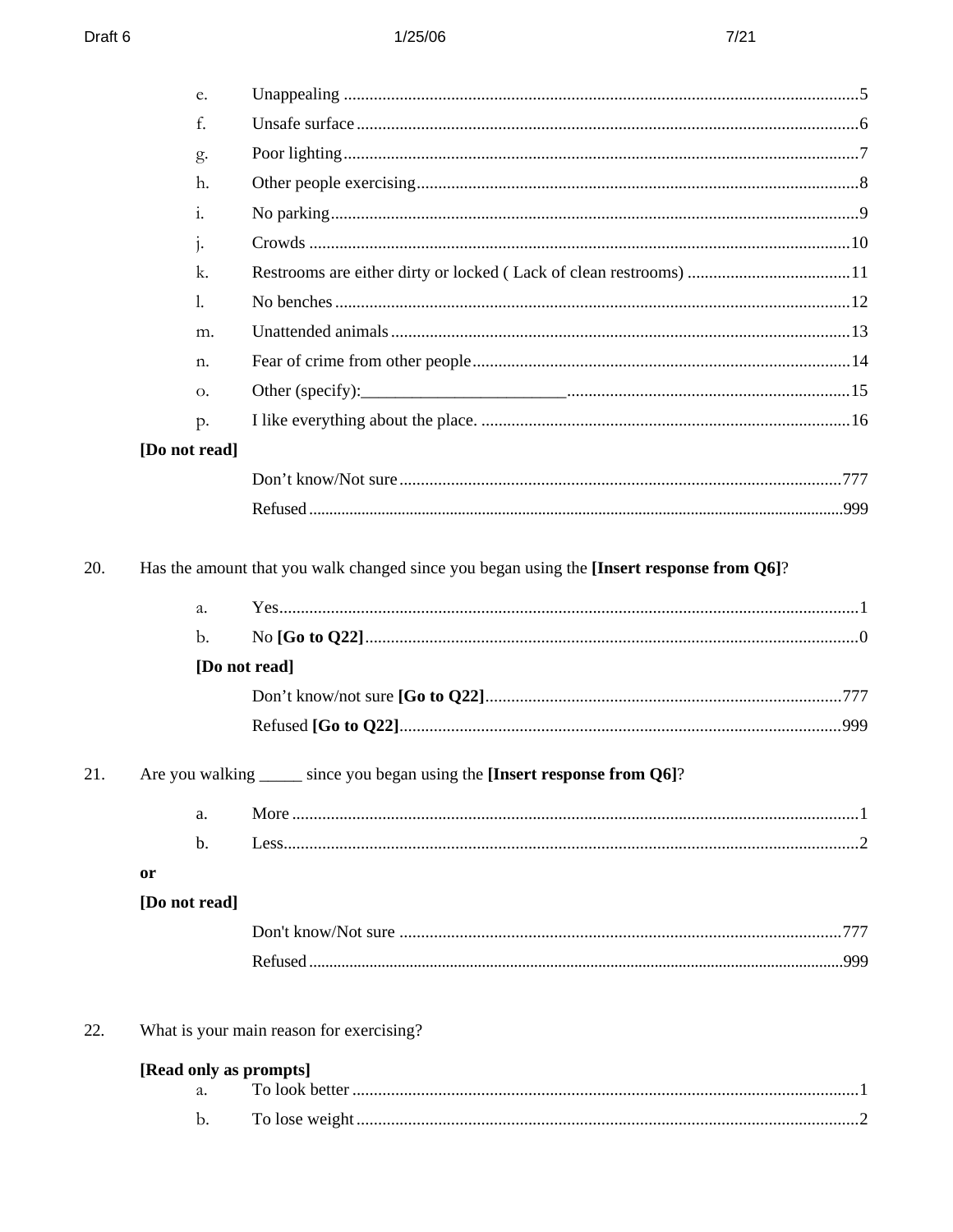|     | e.                     |                                                                            |  |
|-----|------------------------|----------------------------------------------------------------------------|--|
|     | f.                     |                                                                            |  |
|     | g.                     |                                                                            |  |
|     | h.                     |                                                                            |  |
|     | $\mathbf{i}$ .         |                                                                            |  |
|     | $1 -$                  |                                                                            |  |
|     | k.                     |                                                                            |  |
|     | 1.                     |                                                                            |  |
|     | m.                     |                                                                            |  |
|     | n.                     |                                                                            |  |
|     | О.                     |                                                                            |  |
|     | p.                     |                                                                            |  |
|     | [Do not read]          |                                                                            |  |
|     |                        |                                                                            |  |
|     |                        |                                                                            |  |
|     | b.                     | [Do not read]                                                              |  |
|     |                        |                                                                            |  |
|     |                        |                                                                            |  |
| 21. | a.                     | Are you walking _____ since you began using the [Insert response from Q6]? |  |
|     | b.                     |                                                                            |  |
|     | or                     |                                                                            |  |
|     | [Do not read]          |                                                                            |  |
|     |                        |                                                                            |  |
|     |                        |                                                                            |  |
| 22. |                        | What is your main reason for exercising?                                   |  |
|     | [Read only as prompts] |                                                                            |  |
|     | a.                     |                                                                            |  |

 ${\bf b}.$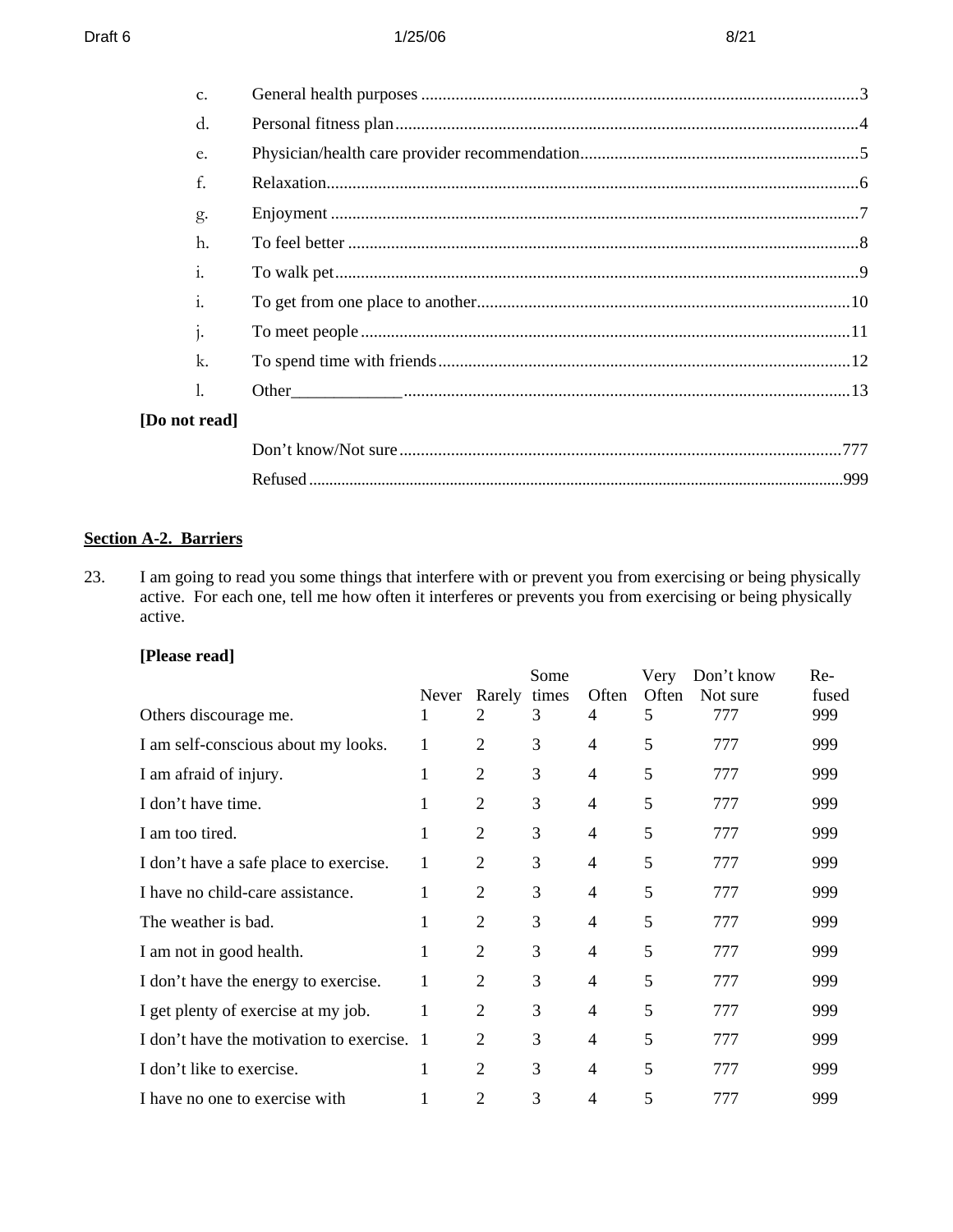#### $Draff 6$  8/21

| C.            |  |
|---------------|--|
| d.            |  |
| e.            |  |
| f.            |  |
| g.            |  |
| h.            |  |
| 1.            |  |
| 1.            |  |
|               |  |
| k.            |  |
|               |  |
| [Do not read] |  |
|               |  |
|               |  |

## **Section A-2. Barriers**

23. I am going to read you some things that interfere with or prevent you from exercising or being physically active. For each one, tell me how often it interferes or prevents you from exercising or being physically active.

# **[Please read]**

|                                            | Never | Rarely         | Some<br>times | Often          | Very<br>Often | Don't know<br>Not sure | Re-<br>fused |
|--------------------------------------------|-------|----------------|---------------|----------------|---------------|------------------------|--------------|
| Others discourage me.                      | 1     | 2              | 3             | 4              | 5             | 777                    | 999          |
| I am self-conscious about my looks.        | 1     | $\overline{2}$ | 3             | $\overline{4}$ | 5             | 777                    | 999          |
| I am afraid of injury.                     | 1     | 2              | 3             | 4              | 5             | 777                    | 999          |
| I don't have time.                         | 1     | $\overline{2}$ | 3             | $\overline{4}$ | 5             | 777                    | 999          |
| I am too tired.                            | 1     | $\overline{c}$ | 3             | 4              | 5             | 777                    | 999          |
| I don't have a safe place to exercise.     | 1     | $\overline{2}$ | 3             | $\overline{4}$ | 5             | 777                    | 999          |
| I have no child-care assistance.           | T     | $\overline{2}$ | 3             | 4              | 5             | 777                    | 999          |
| The weather is bad.                        |       | $\overline{2}$ | 3             | $\overline{4}$ | 5             | 777                    | 999          |
| I am not in good health.                   | 1     | $\overline{2}$ | 3             | 4              | 5             | 777                    | 999          |
| I don't have the energy to exercise.       | 1     | 2              | 3             | $\overline{4}$ | 5             | 777                    | 999          |
| I get plenty of exercise at my job.        | 1     | $\overline{2}$ | 3             | 4              | 5             | 777                    | 999          |
| I don't have the motivation to exercise. 1 |       | $\overline{2}$ | 3             | $\overline{4}$ | 5             | 777                    | 999          |
| I don't like to exercise.                  | 1     | 2              | 3             | 4              | 5             | 777                    | 999          |
| I have no one to exercise with             |       | 2              | 3             | 4              | 5             | 777                    | 999          |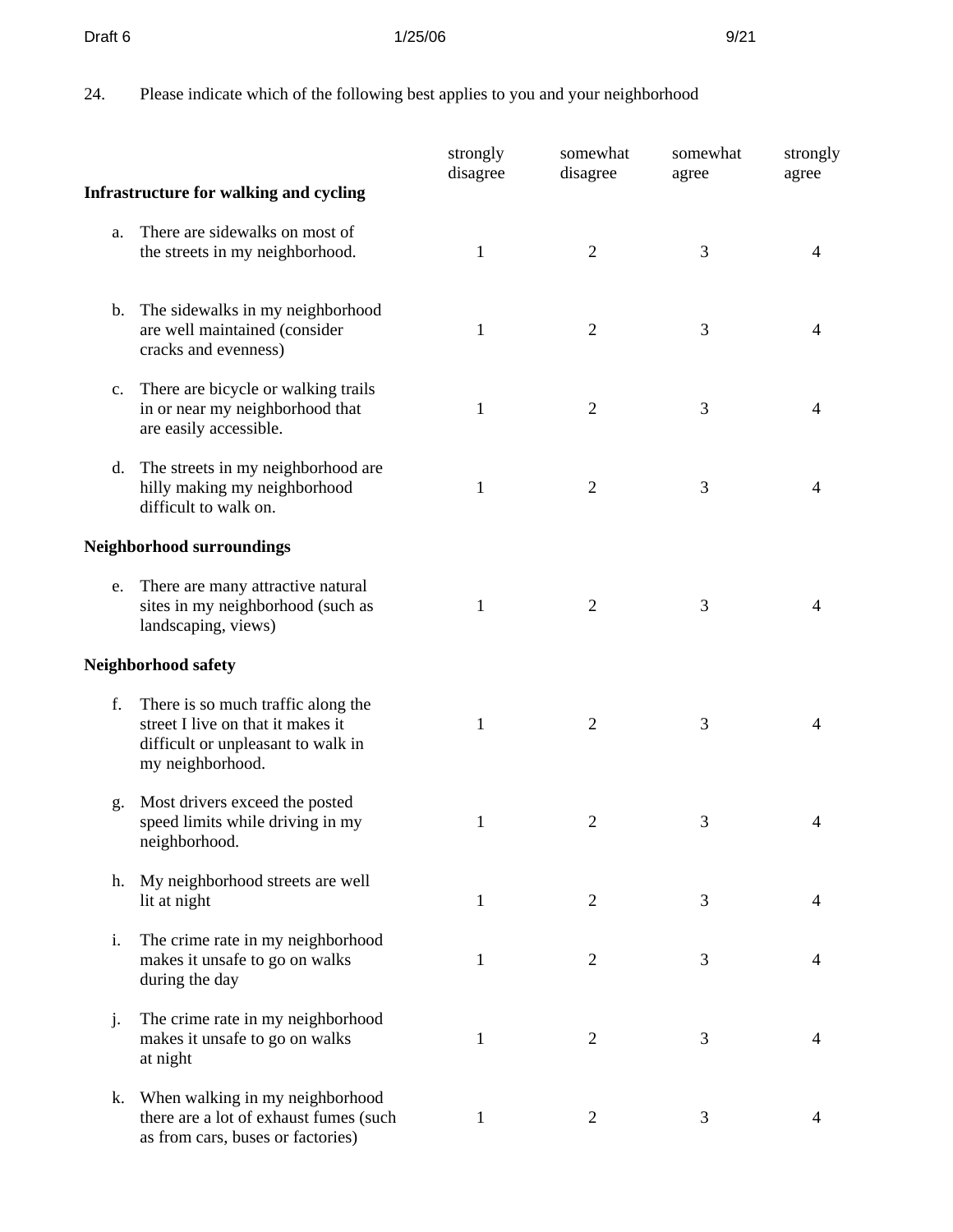#### **Draft 6 3/25/06 9/21**

24. Please indicate which of the following best applies to you and your neighborhood

|             |                                                                                                                                   | strongly<br>disagree | somewhat<br>disagree | somewhat<br>agree | strongly<br>agree |
|-------------|-----------------------------------------------------------------------------------------------------------------------------------|----------------------|----------------------|-------------------|-------------------|
|             | <b>Infrastructure for walking and cycling</b>                                                                                     |                      |                      |                   |                   |
| a.          | There are sidewalks on most of<br>the streets in my neighborhood.                                                                 | 1                    | $\overline{2}$       | 3                 | 4                 |
|             | b. The sidewalks in my neighborhood<br>are well maintained (consider<br>cracks and evenness)                                      | $\mathbf{1}$         | 2                    | 3                 |                   |
| $c_{\cdot}$ | There are bicycle or walking trails<br>in or near my neighborhood that<br>are easily accessible.                                  | 1                    | 2                    | 3                 | 4                 |
| d.          | The streets in my neighborhood are<br>hilly making my neighborhood<br>difficult to walk on.                                       | 1                    | $\overline{2}$       | 3                 | 4                 |
|             | <b>Neighborhood surroundings</b>                                                                                                  |                      |                      |                   |                   |
| e.          | There are many attractive natural<br>sites in my neighborhood (such as<br>landscaping, views)                                     | 1                    | $\overline{2}$       | 3                 | 4                 |
|             | Neighborhood safety                                                                                                               |                      |                      |                   |                   |
| f.          | There is so much traffic along the<br>street I live on that it makes it<br>difficult or unpleasant to walk in<br>my neighborhood. | 1                    | 2                    | 3                 | 4                 |
| g.          | Most drivers exceed the posted<br>speed limits while driving in my<br>neighborhood.                                               | 1                    | $\overline{2}$       | 3                 | 4                 |
| h.          | My neighborhood streets are well<br>lit at night                                                                                  | 1                    | $\overline{2}$       | 3                 | 4                 |
| i.          | The crime rate in my neighborhood<br>makes it unsafe to go on walks<br>during the day                                             | 1                    | 2                    | 3                 | 4                 |
| j.          | The crime rate in my neighborhood<br>makes it unsafe to go on walks<br>at night                                                   | 1                    | 2                    | 3                 | 4                 |
| k.          | When walking in my neighborhood<br>there are a lot of exhaust fumes (such<br>as from cars, buses or factories)                    | 1                    | $\overline{2}$       | 3                 | 4                 |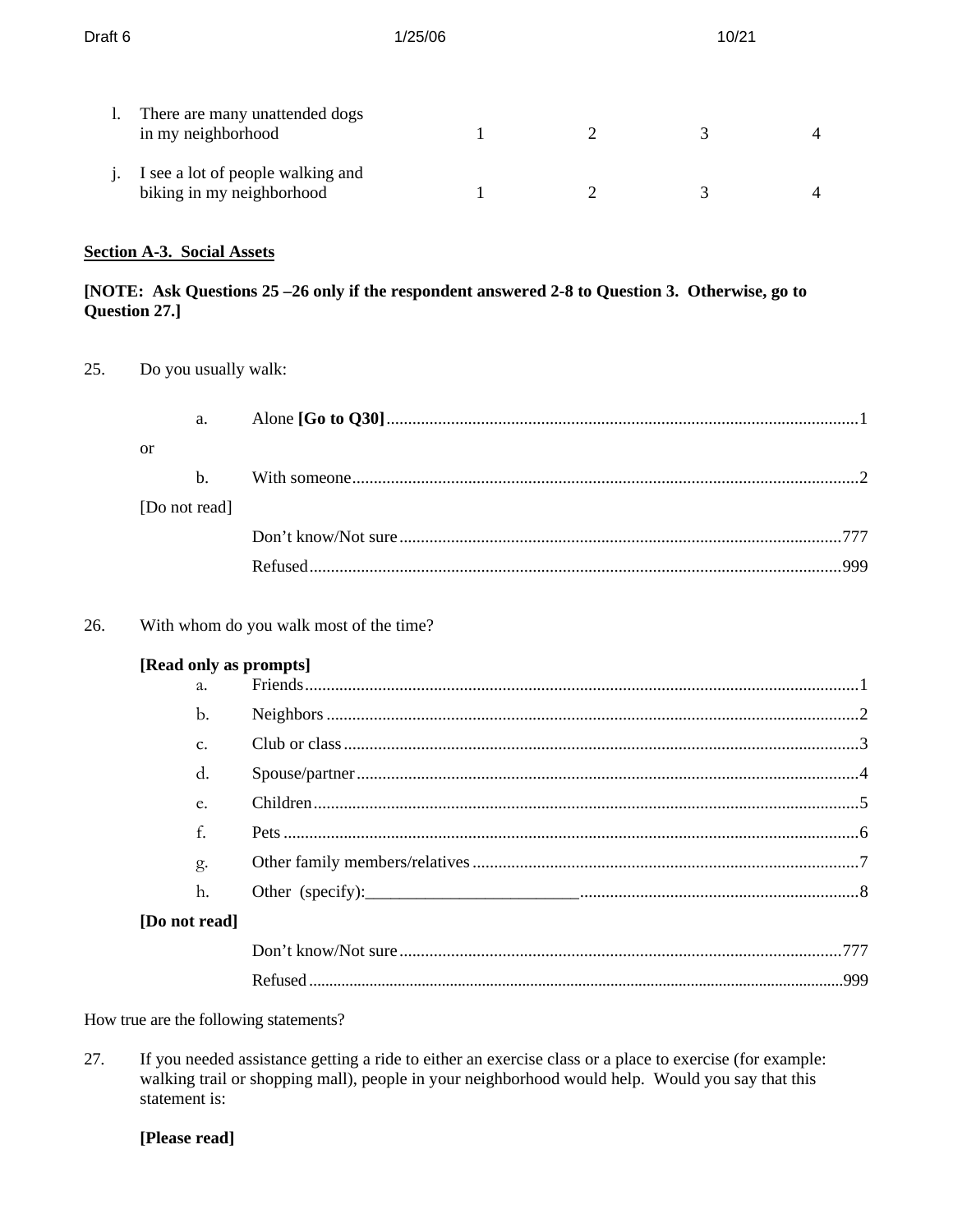| Draft <sub>6</sub> |                                                                | 1/25/06 |  | 10/21 |                |
|--------------------|----------------------------------------------------------------|---------|--|-------|----------------|
| I.                 | There are many unattended dogs<br>in my neighborhood           |         |  |       | $\overline{4}$ |
|                    | I see a lot of people walking and<br>biking in my neighborhood |         |  |       | $\overline{4}$ |

## **Section A-3. Social Assets**

## [NOTE: Ask Questions 25 -26 only if the respondent answered 2-8 to Question 3. Otherwise, go to Question 27.]

25. Do you usually walk:

|               | a. |  |
|---------------|----|--|
| or            |    |  |
|               | h  |  |
| [Do not read] |    |  |
|               |    |  |
|               |    |  |

26. With whom do you walk most of the time?

## [Read only as prompts]

| a.              |  |
|-----------------|--|
| $\mathbf b$ .   |  |
| $\mathcal{C}$ . |  |
| d.              |  |
| e.              |  |
| f.              |  |
| g.              |  |
| h.              |  |
| [Do not read]   |  |
|                 |  |
|                 |  |

How true are the following statements?

27. If you needed assistance getting a ride to either an exercise class or a place to exercise (for example: walking trail or shopping mall), people in your neighborhood would help. Would you say that this statement is:

## [Please read]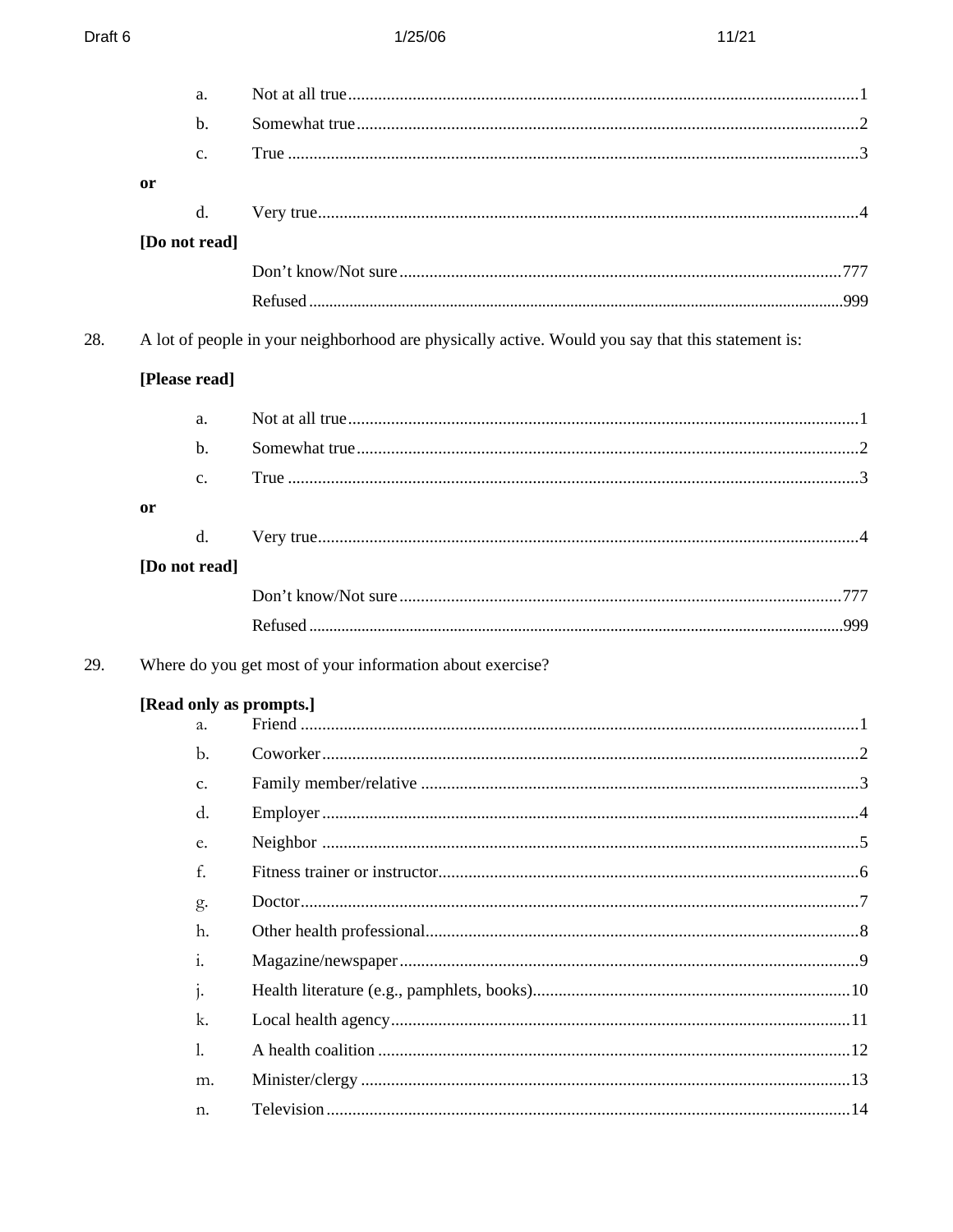|     | a.             |                                                                                                   |  |
|-----|----------------|---------------------------------------------------------------------------------------------------|--|
|     | b.             |                                                                                                   |  |
|     | $C_{\bullet}$  |                                                                                                   |  |
|     | or             |                                                                                                   |  |
|     | d.             |                                                                                                   |  |
|     | [Do not read]  |                                                                                                   |  |
|     |                |                                                                                                   |  |
|     |                |                                                                                                   |  |
| 28. |                | A lot of people in your neighborhood are physically active. Would you say that this statement is: |  |
|     | [Please read]  |                                                                                                   |  |
|     | a.             |                                                                                                   |  |
|     | $b$            |                                                                                                   |  |
|     | $C_{\bullet}$  |                                                                                                   |  |
|     | or             |                                                                                                   |  |
|     | d.             |                                                                                                   |  |
|     | [Do not read]  |                                                                                                   |  |
|     |                |                                                                                                   |  |
|     |                |                                                                                                   |  |
| 29. |                | Where do you get most of your information about exercise?                                         |  |
|     |                | [Read only as prompts.]                                                                           |  |
|     | a.             |                                                                                                   |  |
|     | b.             |                                                                                                   |  |
|     | C.             |                                                                                                   |  |
|     | d.             |                                                                                                   |  |
|     | e.             |                                                                                                   |  |
|     | f.             |                                                                                                   |  |
|     | g.             |                                                                                                   |  |
|     | h.             |                                                                                                   |  |
|     | $\mathbf{i}$ . |                                                                                                   |  |
|     | $\mathbf{i}$ . |                                                                                                   |  |
|     | k.             |                                                                                                   |  |
|     | $\mathbf{l}$ . |                                                                                                   |  |
|     | m.             |                                                                                                   |  |
|     | n.             |                                                                                                   |  |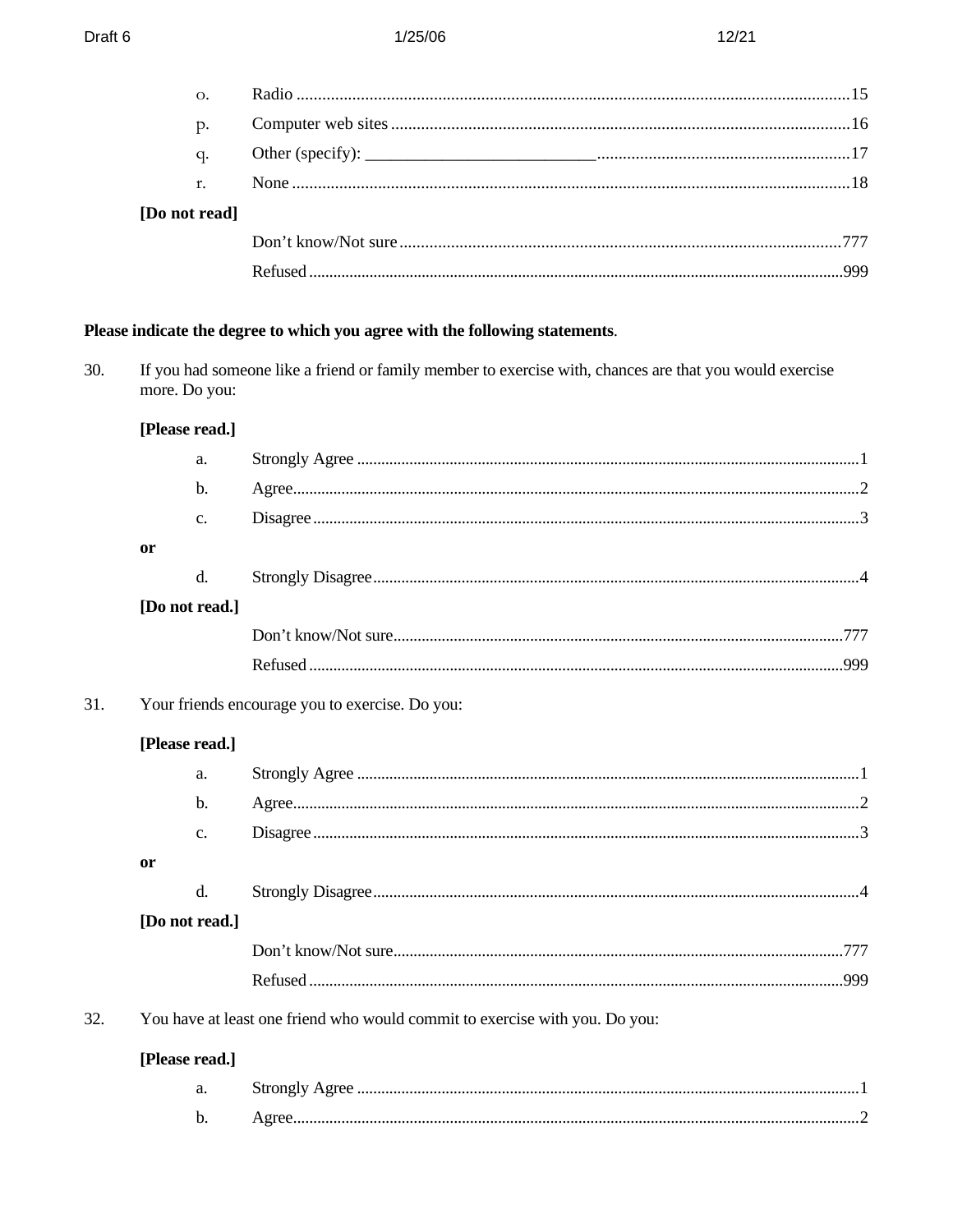|     | О.             |                                                                                                         |  |
|-----|----------------|---------------------------------------------------------------------------------------------------------|--|
|     | p.             |                                                                                                         |  |
|     | q.             |                                                                                                         |  |
|     | r.             |                                                                                                         |  |
|     | [Do not read]  |                                                                                                         |  |
|     |                |                                                                                                         |  |
|     |                |                                                                                                         |  |
|     |                |                                                                                                         |  |
|     |                | Please indicate the degree to which you agree with the following statements.                            |  |
| 30. | more. Do you:  | If you had someone like a friend or family member to exercise with, chances are that you would exercise |  |
|     | [Please read.] |                                                                                                         |  |
|     | a.             |                                                                                                         |  |
|     | b.             |                                                                                                         |  |
|     | c.             |                                                                                                         |  |
|     | <b>or</b>      |                                                                                                         |  |
|     | d.             |                                                                                                         |  |
|     | [Do not read.] |                                                                                                         |  |
|     |                |                                                                                                         |  |
|     |                |                                                                                                         |  |
| 31. |                | Your friends encourage you to exercise. Do you:                                                         |  |
|     | [Please read.] |                                                                                                         |  |
|     | a.             |                                                                                                         |  |
|     | b.             |                                                                                                         |  |
|     | c.             |                                                                                                         |  |
|     | <b>or</b>      |                                                                                                         |  |
|     | d.             |                                                                                                         |  |
|     | [Do not read.] |                                                                                                         |  |
|     |                |                                                                                                         |  |
|     |                |                                                                                                         |  |
| 32. |                | You have at least one friend who would commit to exercise with you. Do you:                             |  |
|     | [Please read.] |                                                                                                         |  |
|     | a.             |                                                                                                         |  |
|     | b.             |                                                                                                         |  |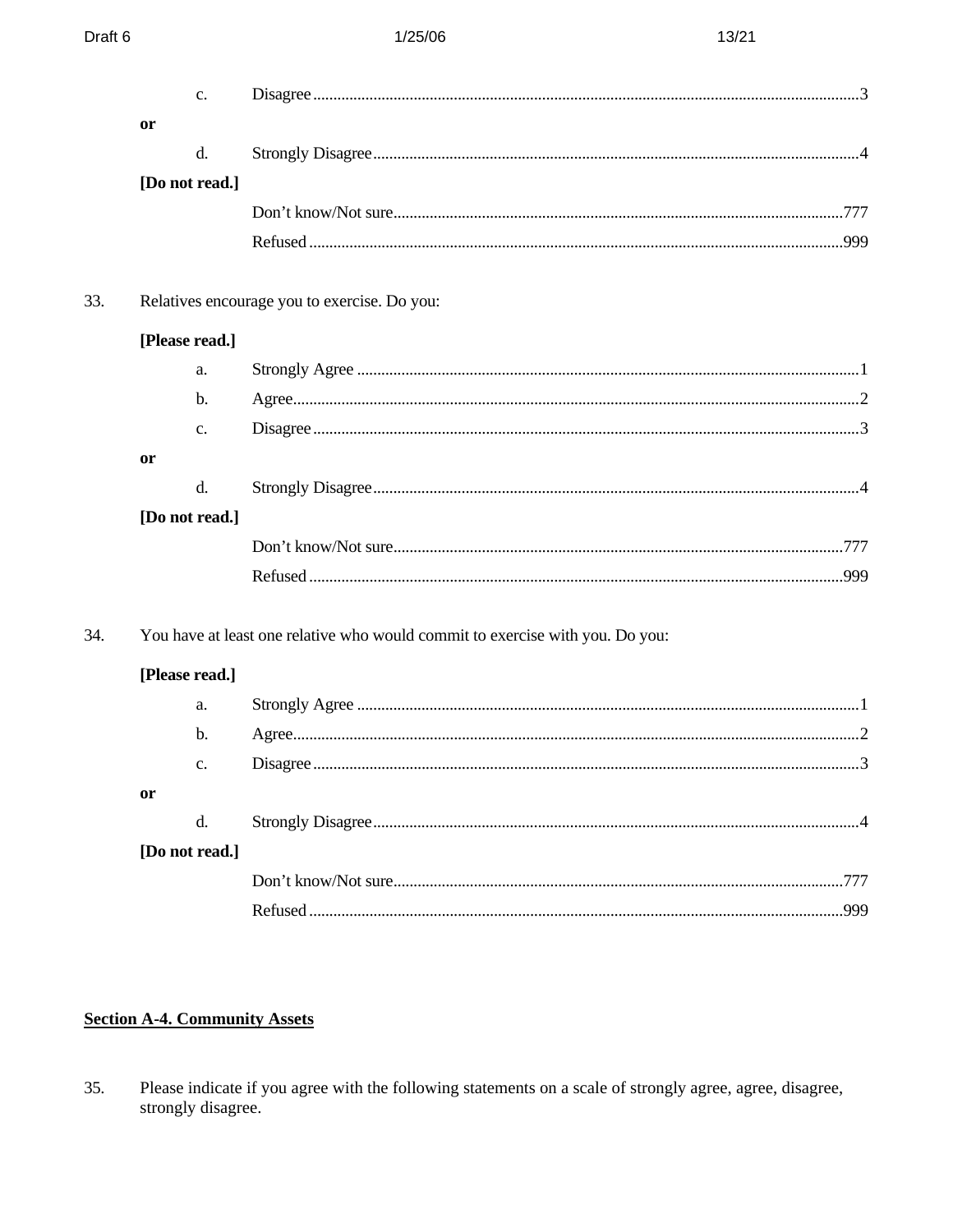## **Section A-4. Community Assets**

35. Please indicate if you agree with the following statements on a scale of strongly agree, agree, disagree, strongly disagree.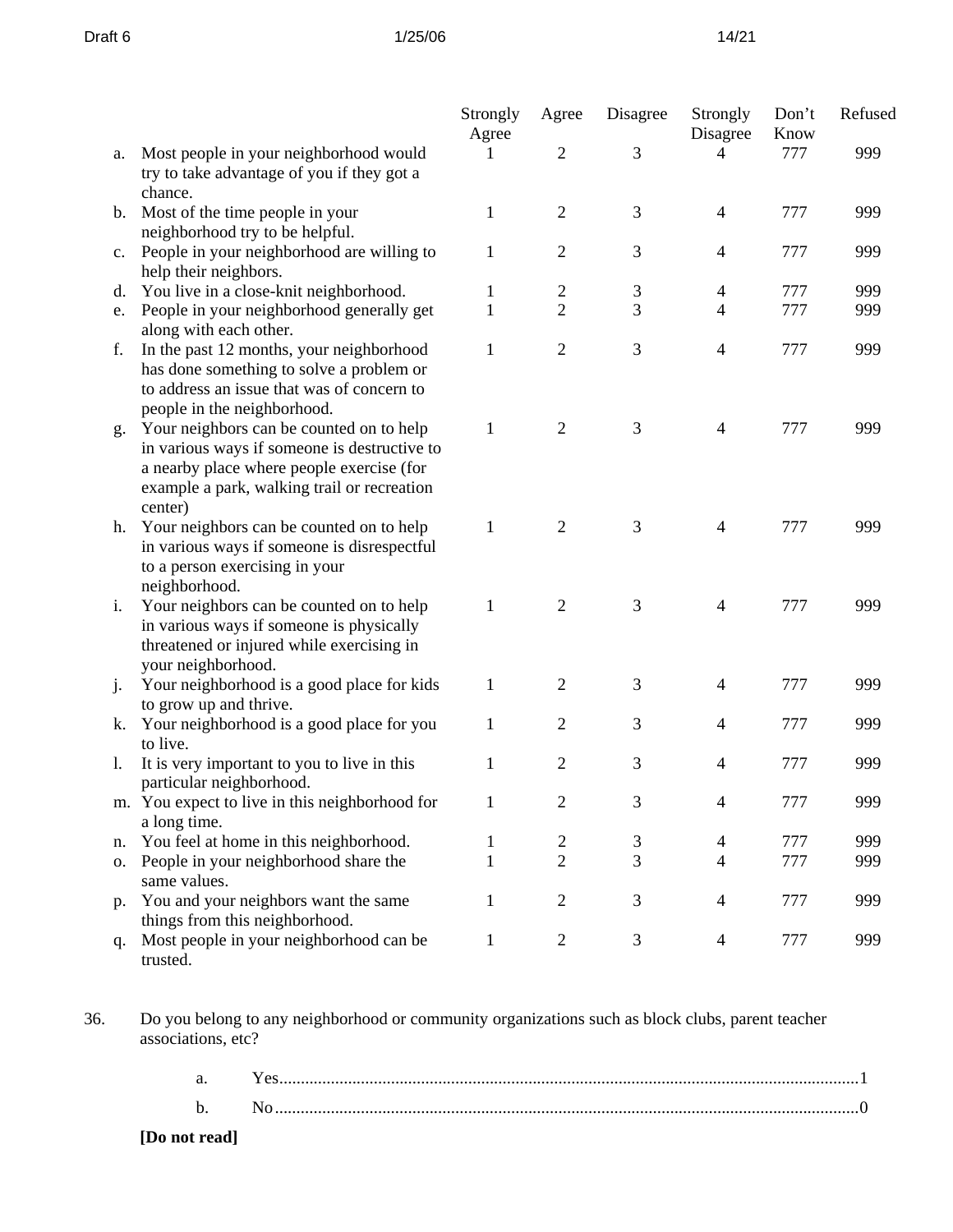|    |                                                                                                                                                                                                 | Strongly<br>Agree | Agree          | Disagree | Strongly<br>Disagree     | Don't<br>Know | Refused |
|----|-------------------------------------------------------------------------------------------------------------------------------------------------------------------------------------------------|-------------------|----------------|----------|--------------------------|---------------|---------|
| a. | Most people in your neighborhood would<br>try to take advantage of you if they got a                                                                                                            |                   | $\overline{2}$ | 3        | 4                        | 777           | 999     |
| b. | chance.<br>Most of the time people in your<br>neighborhood try to be helpful.                                                                                                                   | $\mathbf{1}$      | $\overline{2}$ | 3        | $\overline{4}$           | 777           | 999     |
| c. | People in your neighborhood are willing to<br>help their neighbors.                                                                                                                             | $\mathbf 1$       | $\overline{2}$ | 3        | $\overline{4}$           | 777           | 999     |
| d. | You live in a close-knit neighborhood.                                                                                                                                                          | 1                 | $\overline{c}$ | 3        | $\overline{\mathcal{A}}$ | 777           | 999     |
| e. | People in your neighborhood generally get<br>along with each other.                                                                                                                             | 1                 | $\overline{2}$ | 3        | 4                        | 777           | 999     |
| f. | In the past 12 months, your neighborhood<br>has done something to solve a problem or<br>to address an issue that was of concern to<br>people in the neighborhood.                               | 1                 | $\sqrt{2}$     | 3        | $\overline{4}$           | 777           | 999     |
| g. | Your neighbors can be counted on to help<br>in various ways if someone is destructive to<br>a nearby place where people exercise (for<br>example a park, walking trail or recreation<br>center) | 1                 | $\overline{2}$ | 3        | $\overline{4}$           | 777           | 999     |
| h. | Your neighbors can be counted on to help<br>in various ways if someone is disrespectful<br>to a person exercising in your<br>neighborhood.                                                      | 1                 | $\overline{2}$ | 3        | $\overline{4}$           | 777           | 999     |
| i. | Your neighbors can be counted on to help<br>in various ways if someone is physically<br>threatened or injured while exercising in<br>your neighborhood.                                         | 1                 | $\mathbf{2}$   | 3        | 4                        | 777           | 999     |
| j. | Your neighborhood is a good place for kids<br>to grow up and thrive.                                                                                                                            | 1                 | $\overline{2}$ | 3        | $\overline{4}$           | 777           | 999     |
| k. | Your neighborhood is a good place for you<br>to live.                                                                                                                                           | 1                 | $\overline{2}$ | 3        | $\overline{4}$           | 777           | 999     |
| 1. | It is very important to you to live in this<br>particular neighborhood.                                                                                                                         | 1                 | $\overline{2}$ | 3        | 4                        | 777           | 999     |
|    | m. You expect to live in this neighborhood for<br>a long time.                                                                                                                                  | $\mathbf{1}$      | $\overline{2}$ | 3        | $\Lambda$                | 777           | 999     |
| n. | You feel at home in this neighborhood.                                                                                                                                                          | 1                 | $\mathbf{2}$   | 3        | $\overline{4}$           | 777           | 999     |
| 0. | People in your neighborhood share the<br>same values.                                                                                                                                           | 1                 | $\overline{2}$ | 3        | $\overline{4}$           | 777           | 999     |
| p. | You and your neighbors want the same<br>things from this neighborhood.                                                                                                                          | 1                 | $\overline{2}$ | 3        | 4                        | 777           | 999     |
| q. | Most people in your neighborhood can be<br>trusted.                                                                                                                                             | 1                 | $\overline{c}$ | 3        | $\overline{4}$           | 777           | 999     |

36. Do you belong to any neighborhood or community organizations such as block clubs, parent teacher associations, etc?

| a.            | $\sim$ |
|---------------|--------|
| D.            |        |
| [Do not read] |        |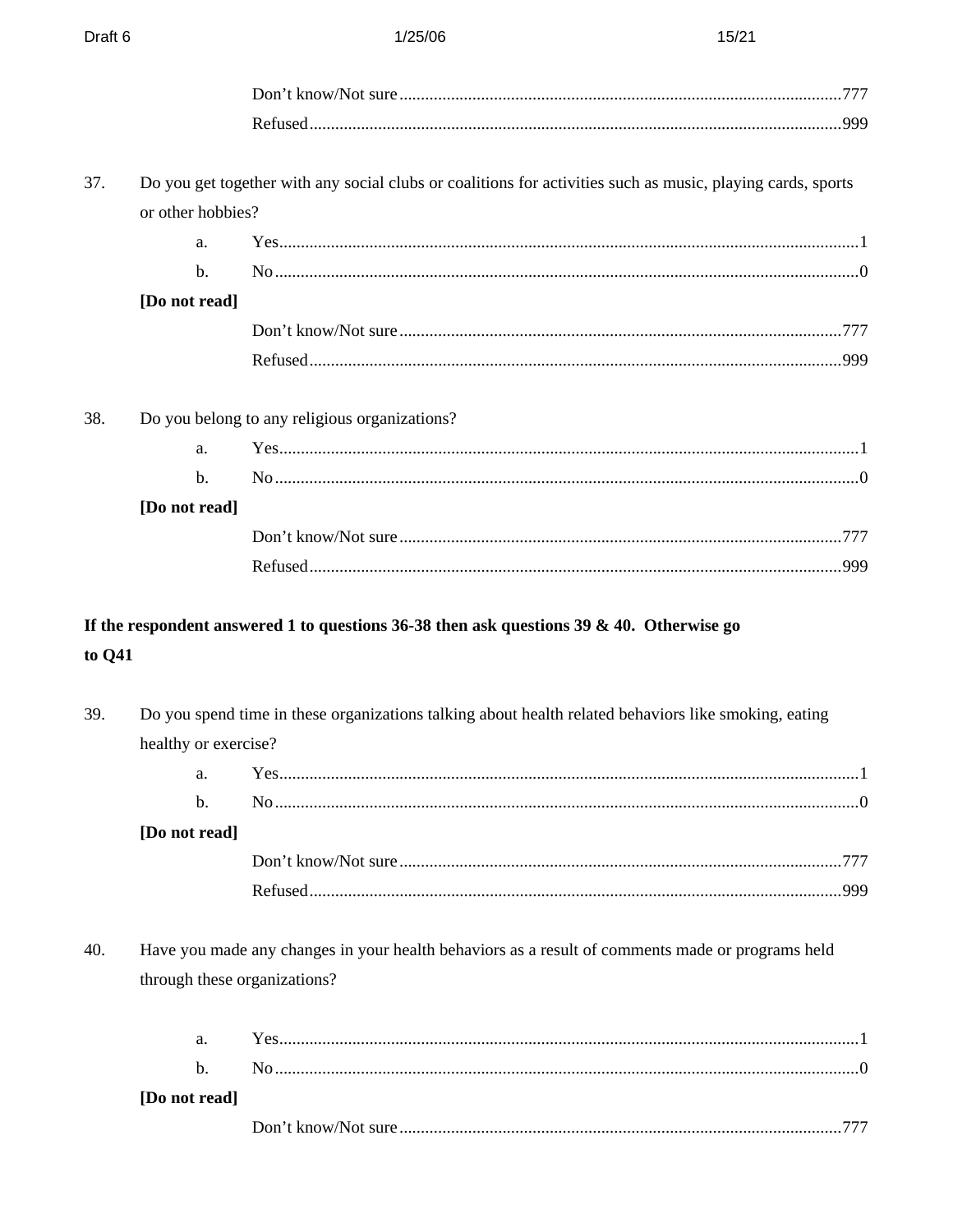| 37.    |                      | Do you get together with any social clubs or coalitions for activities such as music, playing cards, sports |  |
|--------|----------------------|-------------------------------------------------------------------------------------------------------------|--|
|        | or other hobbies?    |                                                                                                             |  |
|        | a.                   |                                                                                                             |  |
|        | $\mathbf b$ .        |                                                                                                             |  |
|        | [Do not read]        |                                                                                                             |  |
|        |                      |                                                                                                             |  |
|        |                      |                                                                                                             |  |
| 38.    |                      | Do you belong to any religious organizations?                                                               |  |
|        | a.                   | Yes. 1                                                                                                      |  |
|        | b.                   |                                                                                                             |  |
|        | [Do not read]        |                                                                                                             |  |
|        |                      |                                                                                                             |  |
|        |                      |                                                                                                             |  |
| to Q41 |                      |                                                                                                             |  |
| 39.    |                      | Do you spend time in these organizations talking about health related behaviors like smoking, eating        |  |
|        | healthy or exercise? |                                                                                                             |  |
|        | a.                   |                                                                                                             |  |
|        | b.                   |                                                                                                             |  |
|        | [Do not read]        |                                                                                                             |  |
|        |                      |                                                                                                             |  |
|        |                      |                                                                                                             |  |
| 40.    |                      | Have you made any changes in your health behaviors as a result of comments made or programs held            |  |
|        |                      | through these organizations?                                                                                |  |
|        | a.                   |                                                                                                             |  |
|        | $\mathbf b$ .        |                                                                                                             |  |
|        | [Do not read]        |                                                                                                             |  |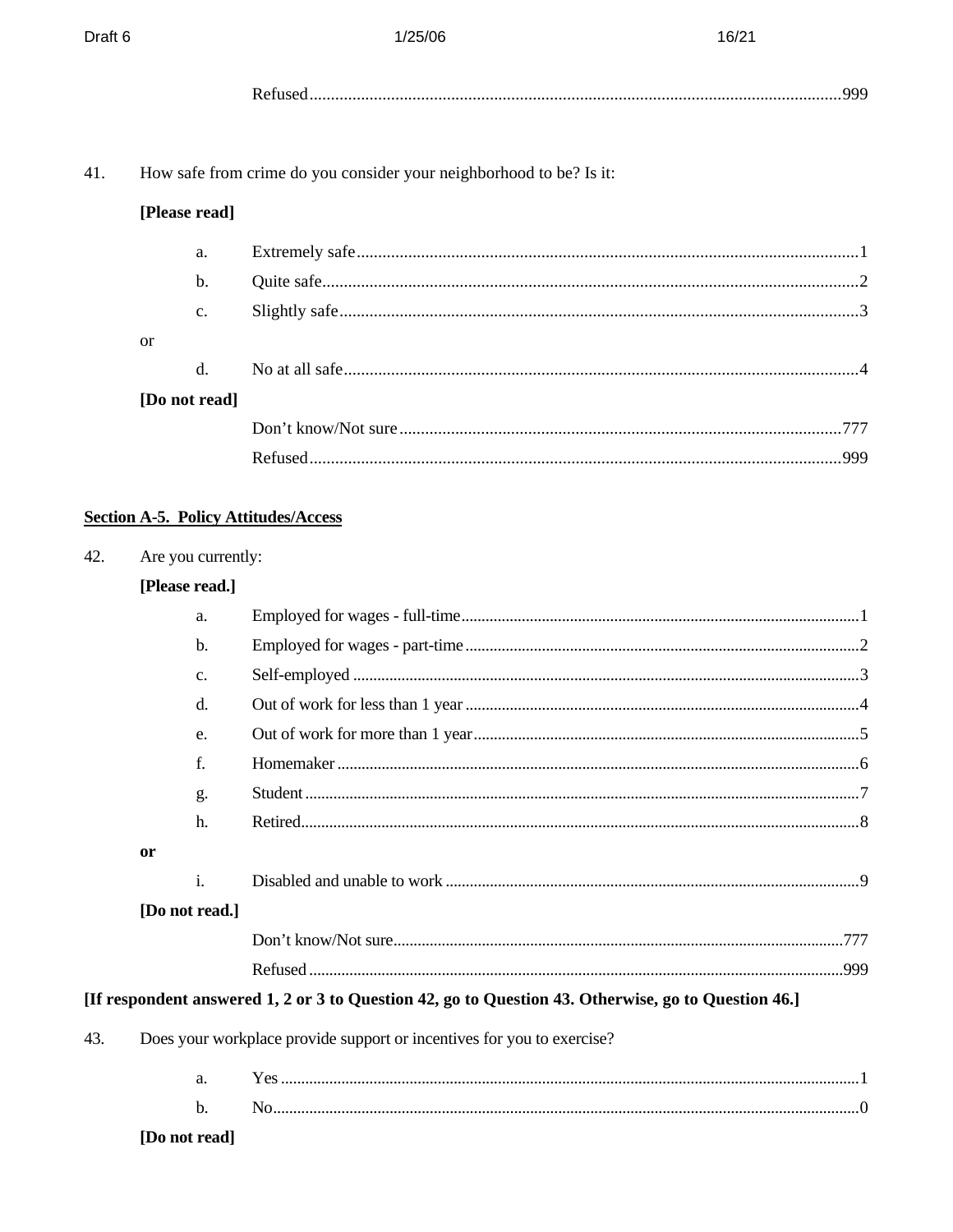| 41. |                                                                   | How safe from crime do you consider your neighborhood to be? Is it: |  |
|-----|-------------------------------------------------------------------|---------------------------------------------------------------------|--|
|     | [Please read]                                                     |                                                                     |  |
|     | a.                                                                |                                                                     |  |
|     | $b$ .                                                             |                                                                     |  |
|     | c.                                                                |                                                                     |  |
|     | <b>or</b>                                                         |                                                                     |  |
|     | d.                                                                |                                                                     |  |
|     | [Do not read]                                                     |                                                                     |  |
|     |                                                                   |                                                                     |  |
|     |                                                                   |                                                                     |  |
| 42. | <b>Section A-5. Policy Attitudes/Access</b><br>Are you currently: |                                                                     |  |
|     | [Please read.]                                                    |                                                                     |  |
|     | a.                                                                |                                                                     |  |
|     | $b$ .                                                             |                                                                     |  |
|     | c.                                                                |                                                                     |  |
|     | d.                                                                |                                                                     |  |
|     | e.                                                                |                                                                     |  |
|     | f.                                                                |                                                                     |  |
|     | g.                                                                |                                                                     |  |
|     | h.                                                                |                                                                     |  |

or

| [Do not read.] |  |
|----------------|--|

# 

## [If respondent answered 1, 2 or 3 to Question 42, go to Question 43. Otherwise, go to Question 46.]

43. Does your workplace provide support or incentives for you to exercise?

| [Do not read] |  |
|---------------|--|
|               |  |
| a.            |  |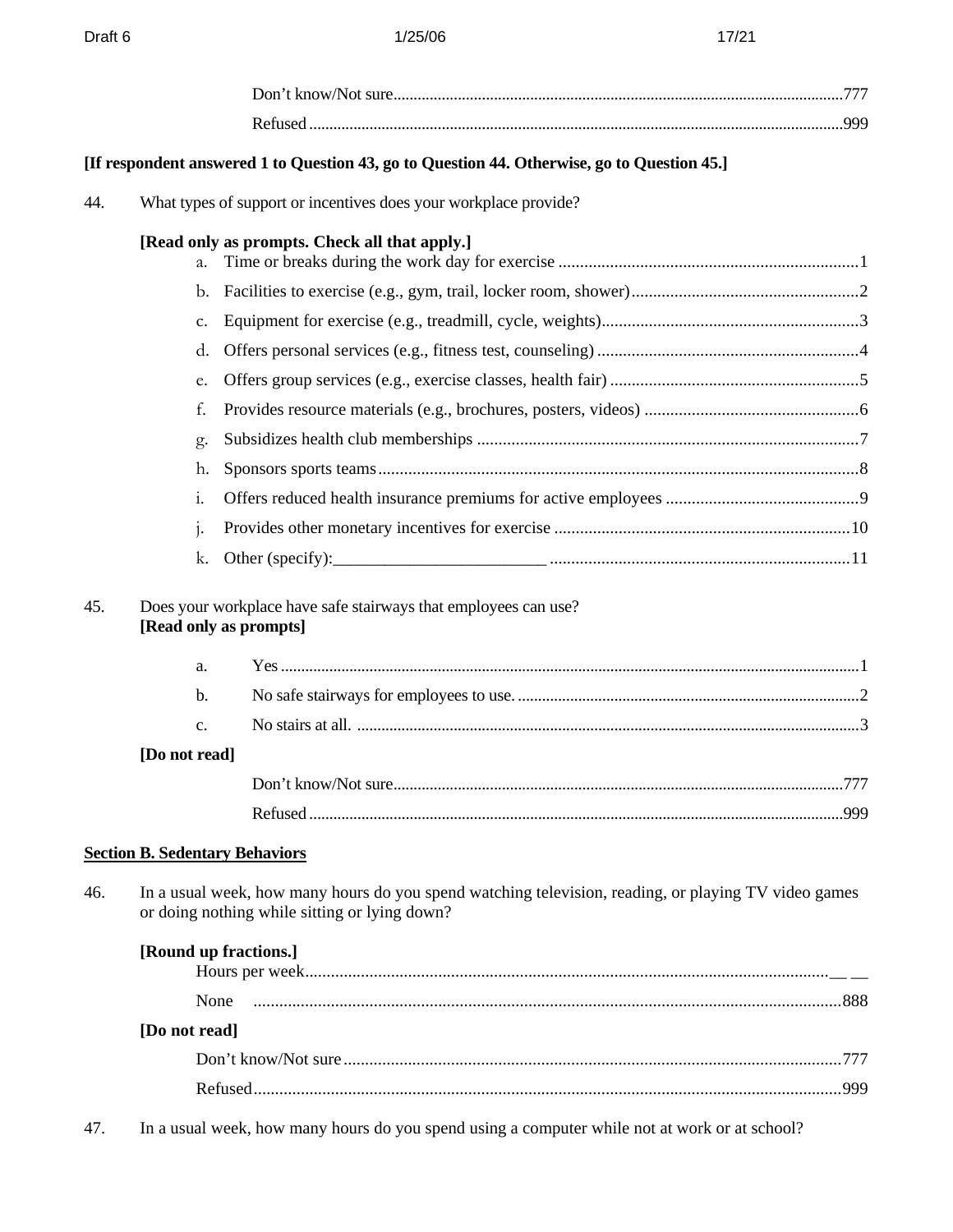|     |                                       | [If respondent answered 1 to Question 43, go to Question 44. Otherwise, go to Question 45.]                                                           |  |
|-----|---------------------------------------|-------------------------------------------------------------------------------------------------------------------------------------------------------|--|
| 44. |                                       | What types of support or incentives does your workplace provide?                                                                                      |  |
|     | a.                                    | [Read only as prompts. Check all that apply.]                                                                                                         |  |
|     |                                       |                                                                                                                                                       |  |
|     | C.                                    |                                                                                                                                                       |  |
|     | d.                                    |                                                                                                                                                       |  |
|     | e.                                    |                                                                                                                                                       |  |
|     | f.                                    |                                                                                                                                                       |  |
|     | g.                                    |                                                                                                                                                       |  |
|     | h.                                    |                                                                                                                                                       |  |
|     | $\mathbf{i}$ .                        |                                                                                                                                                       |  |
|     | 1.                                    |                                                                                                                                                       |  |
|     | k.                                    |                                                                                                                                                       |  |
| 45. |                                       | Does your workplace have safe stairways that employees can use?<br>[Read only as prompts]                                                             |  |
|     | a.                                    |                                                                                                                                                       |  |
|     | b.                                    |                                                                                                                                                       |  |
|     | c.                                    |                                                                                                                                                       |  |
|     | [Do not read]                         |                                                                                                                                                       |  |
|     |                                       |                                                                                                                                                       |  |
|     |                                       |                                                                                                                                                       |  |
|     | <b>Section B. Sedentary Behaviors</b> |                                                                                                                                                       |  |
| 46. |                                       | In a usual week, how many hours do you spend watching television, reading, or playing TV video games<br>or doing nothing while sitting or lying down? |  |
|     |                                       | [Round up fractions.]                                                                                                                                 |  |
|     | None                                  |                                                                                                                                                       |  |
|     | [Do not read]                         |                                                                                                                                                       |  |
|     |                                       |                                                                                                                                                       |  |
|     |                                       |                                                                                                                                                       |  |

47. In a usual week, how many hours do you spend using a computer while not at work or at school?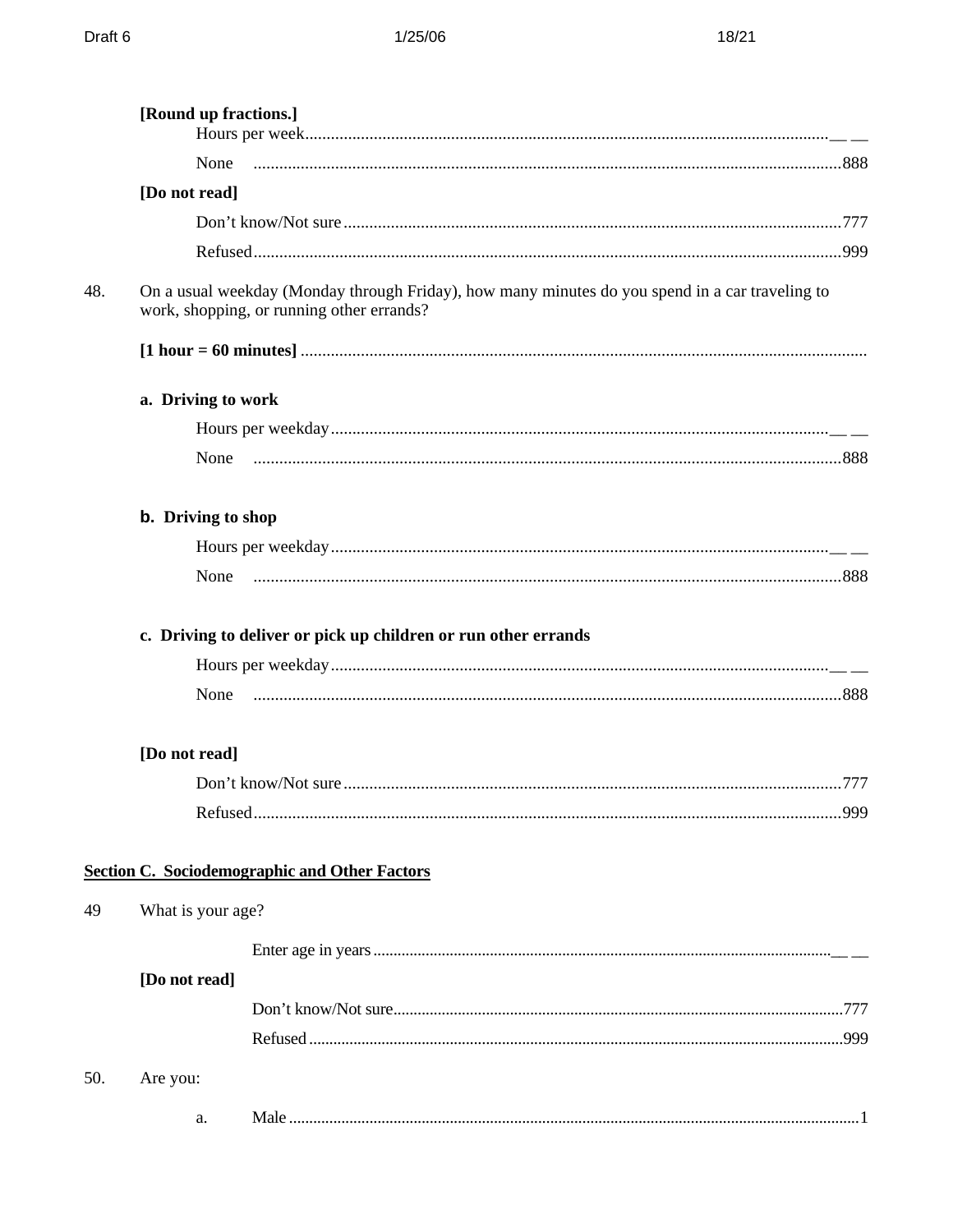|     | [Round up fractions.] |                                                                                                                                              |      |
|-----|-----------------------|----------------------------------------------------------------------------------------------------------------------------------------------|------|
|     | None                  |                                                                                                                                              |      |
|     | [Do not read]         |                                                                                                                                              |      |
|     |                       |                                                                                                                                              |      |
|     |                       |                                                                                                                                              |      |
| 48. |                       | On a usual weekday (Monday through Friday), how many minutes do you spend in a car traveling to<br>work, shopping, or running other errands? |      |
|     |                       |                                                                                                                                              |      |
|     | a. Driving to work    |                                                                                                                                              |      |
|     |                       |                                                                                                                                              |      |
|     | None                  |                                                                                                                                              |      |
|     | b. Driving to shop    |                                                                                                                                              |      |
|     |                       |                                                                                                                                              |      |
|     |                       |                                                                                                                                              |      |
|     | None                  | c. Driving to deliver or pick up children or run other errands                                                                               |      |
|     | [Do not read]         |                                                                                                                                              |      |
|     |                       |                                                                                                                                              |      |
|     |                       |                                                                                                                                              | .999 |
|     |                       | <b>Section C. Sociodemographic and Other Factors</b>                                                                                         |      |
| 49  | What is your age?     |                                                                                                                                              |      |
|     |                       |                                                                                                                                              |      |
|     | [Do not read]         |                                                                                                                                              |      |
|     |                       |                                                                                                                                              |      |
|     |                       |                                                                                                                                              |      |
| 50. | Are you:              |                                                                                                                                              |      |
|     | a.                    |                                                                                                                                              |      |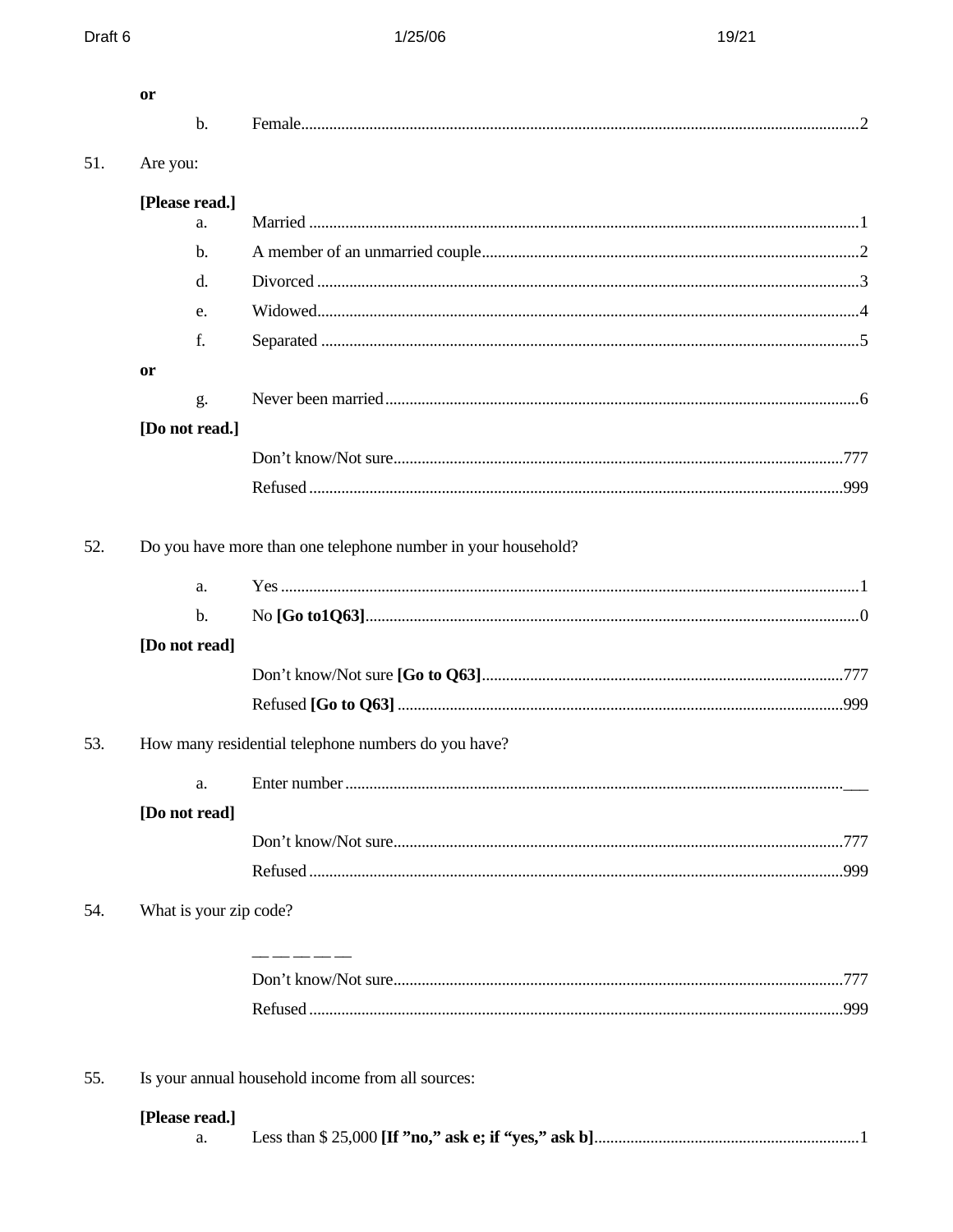|     | <b>or</b>              |                                                               |  |
|-----|------------------------|---------------------------------------------------------------|--|
|     | b.                     |                                                               |  |
| 51. | Are you:               |                                                               |  |
|     | [Please read.]         |                                                               |  |
|     | a.                     |                                                               |  |
|     | $\mathbf{b}$ .         |                                                               |  |
|     | $d$ .                  |                                                               |  |
|     | e.                     |                                                               |  |
|     | f.                     |                                                               |  |
|     | or                     |                                                               |  |
|     | g.                     |                                                               |  |
|     | [Do not read.]         |                                                               |  |
|     |                        |                                                               |  |
|     |                        |                                                               |  |
| 52. |                        | Do you have more than one telephone number in your household? |  |
|     | a.                     |                                                               |  |
|     | b.                     |                                                               |  |
|     | [Do not read]          |                                                               |  |
|     |                        |                                                               |  |
|     |                        |                                                               |  |
| 53. |                        | How many residential telephone numbers do you have?           |  |
|     |                        |                                                               |  |
|     | [Do not read]          |                                                               |  |
|     |                        |                                                               |  |
|     |                        |                                                               |  |
| 54. | What is your zip code? |                                                               |  |
|     |                        | __ __ __ __                                                   |  |
|     |                        |                                                               |  |
|     |                        |                                                               |  |
| 55. |                        | Is your annual household income from all sources:             |  |
|     | [Please read.]         |                                                               |  |
|     | a.                     |                                                               |  |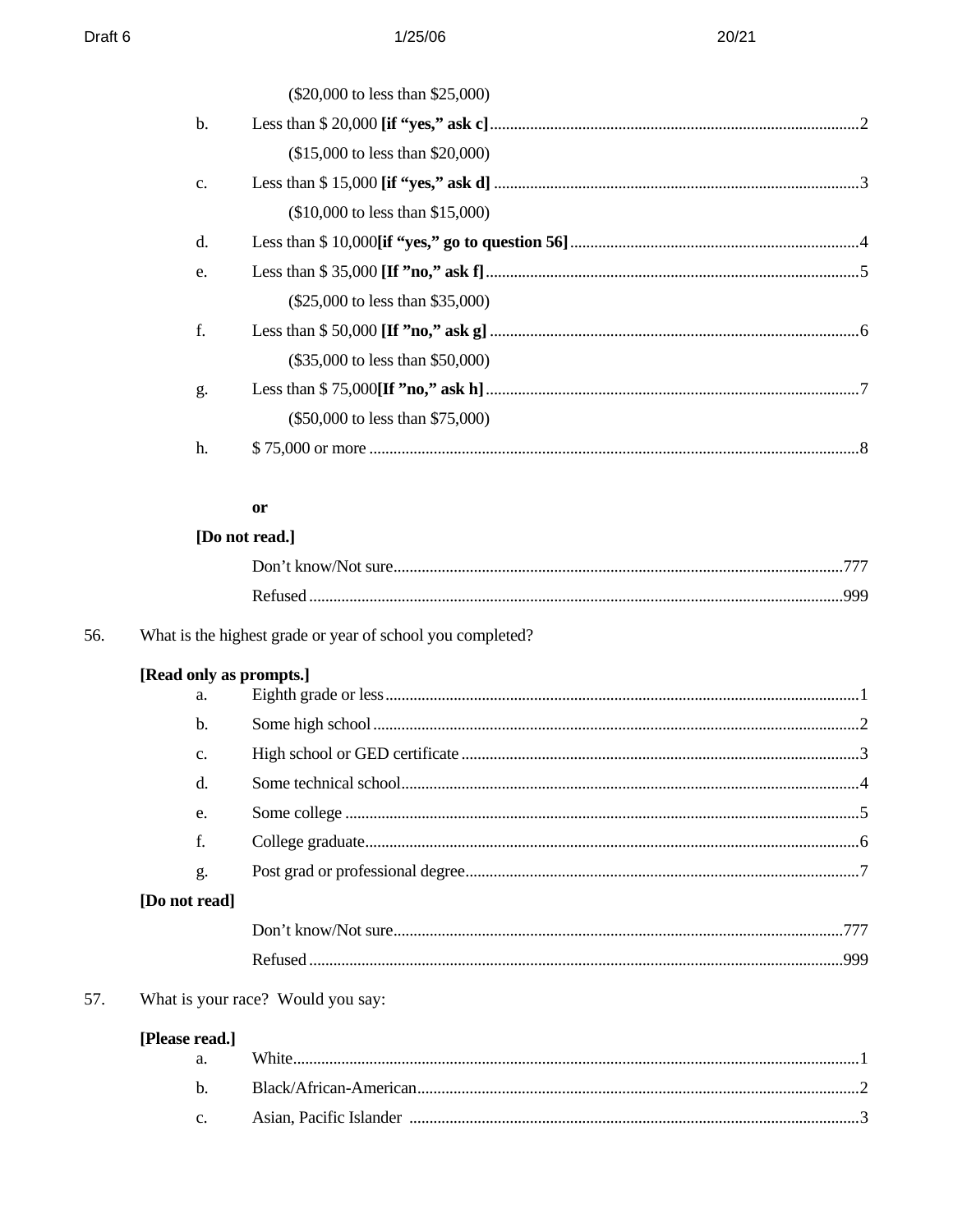|               | (\$20,000 to less than \$25,000)   |  |
|---------------|------------------------------------|--|
| b.            |                                    |  |
|               | $($15,000$ to less than \$20,000)  |  |
| $C_{\bullet}$ |                                    |  |
|               | $($10,000$ to less than \$15,000)  |  |
| d.            |                                    |  |
| e.            |                                    |  |
|               | (\$25,000 to less than \$35,000)   |  |
| f.            |                                    |  |
|               | (\$35,000 to less than \$50,000)   |  |
| g.            |                                    |  |
|               | $(\$50,000$ to less than \$75,000) |  |
| h.            |                                    |  |
|               |                                    |  |
|               | <b>or</b>                          |  |

# [Do not read.]

| Refused |  |
|---------|--|

#### 56. What is the highest grade or year of school you completed?

|  | [Read only as prompts.] |  |
|--|-------------------------|--|
|--|-------------------------|--|

| a.            |  |
|---------------|--|
| b.            |  |
| c.            |  |
| d.            |  |
| e.            |  |
| f.            |  |
| g.            |  |
| [Do not read] |  |
|               |  |
|               |  |

#### 57. What is your race? Would you say:

# [Please read.]